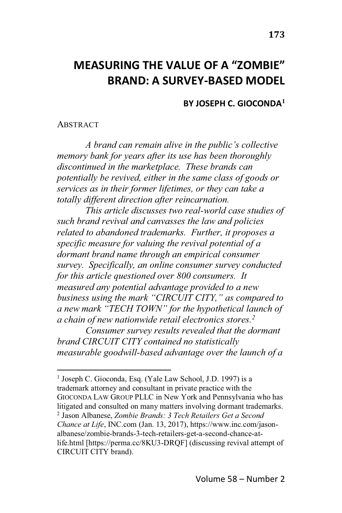# **MEASURING THE VALUE OF A "ZOMBIE" BRAND: A SURVEY-BASED MODEL**

**BY JOSEPH C. GIOCONDA<sup>1</sup>**

#### ABSTRACT

*A* brand can remain alive in the public's collective *memory bank for years after its use has been thoroughly discontinued in the marketplace. These brands can potentially be revived, either in the same class of goods or services as in their former lifetimes, or they can take a totally different direction after reincarnation.*

*This article discusses two real-world case studies of such brand revival and canvasses the law and policies related to abandoned trademarks. Further, it proposes a specific measure for valuing the revival potential of a dormant brand name through an empirical consumer survey. Specifically, an online consumer survey conducted for this article questioned over 800 consumers. It measured any potential advantage provided to a new business using the mark "CIRCUIT CITY," as compared to*  $\alpha$  new mark "TECH TOWN" for the hypothetical launch of *a chain of new nationwide retail electronics stores.2*

*Consumer survey results revealed that the dormant brand CIRCUIT CITY contained no statistically measurable goodwill-based advantage over the launch of a*

<sup>1</sup> Joseph C. Gioconda, Esq. (Yale Law School, J.D. 1997) is a trademark attorney and consultant in private practice with the GIOCONDA LAW GROUP PLLC in New York and Pennsylvania who has litigated and consulted on many matters involving dormant trademarks. <sup>2</sup> Jason Albanese, *Zombie Brands: 3 Tech Retailers Get a Second Chance at Life*, INC.com (Jan. 13, 2017), https://www.inc.com/jasonalbanese/zombie-brands-3-tech-retailers-get-a-second-chance-atlife.html [https://perma.cc/8KU3-DRQF] (discussing revival attempt of CIRCUIT CITY brand).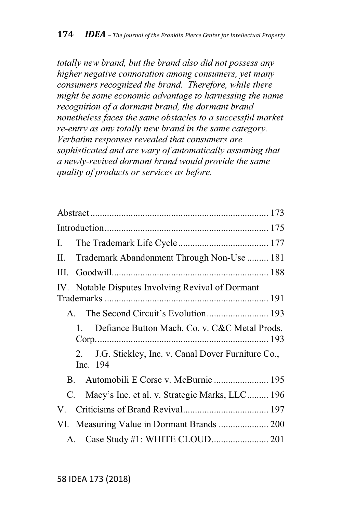*totally new brand, but the brand also did not possess any higher negative connotation among consumers, yet many consumers recognized the brand. Therefore, while there might be some economic advantage to harnessing the name recognition of a dormant brand, the dormant brand nonetheless faces the same obstacles to a successful market re-entry as any totally new brand in the same category. Verbatim responses revealed that consumers are sophisticated and are wary of automatically assuming that a newly-revived dormant brand would provide the same quality of products or services as before.*

| Trademark Abandonment Through Non-Use  181                          |  |  |  |  |
|---------------------------------------------------------------------|--|--|--|--|
| III.                                                                |  |  |  |  |
| IV. Notable Disputes Involving Revival of Dormant                   |  |  |  |  |
| The Second Circuit's Evolution 193<br>$\mathsf{A}$                  |  |  |  |  |
| Defiance Button Mach. Co. v. C&C Metal Prods.<br>$\mathbf{1}$       |  |  |  |  |
| J.G. Stickley, Inc. v. Canal Dover Furniture Co.,<br>2.<br>Inc. 194 |  |  |  |  |
|                                                                     |  |  |  |  |
| Macy's Inc. et al. v. Strategic Marks, LLC 196<br>C.                |  |  |  |  |
| V.                                                                  |  |  |  |  |
| VI. Measuring Value in Dormant Brands  200                          |  |  |  |  |
| A.                                                                  |  |  |  |  |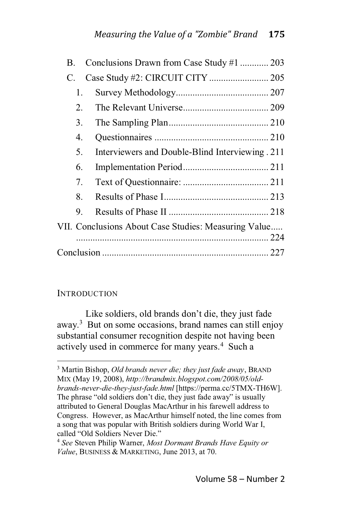| B. |    | Conclusions Drawn from Case Study #1  203            |  |  |
|----|----|------------------------------------------------------|--|--|
| C. |    |                                                      |  |  |
|    | 1. |                                                      |  |  |
|    | 2. |                                                      |  |  |
|    | 3. |                                                      |  |  |
|    | 4. |                                                      |  |  |
|    | 5. | Interviewers and Double-Blind Interviewing. 211      |  |  |
|    | 6. |                                                      |  |  |
|    | 7. |                                                      |  |  |
|    | 8. |                                                      |  |  |
|    | 9. |                                                      |  |  |
|    |    | VII. Conclusions About Case Studies: Measuring Value |  |  |
|    |    |                                                      |  |  |
|    |    |                                                      |  |  |

#### **INTRODUCTION**

Like soldiers, old brands don't die, they just fade away.3 But on some occasions, brand names can still enjoy substantial consumer recognition despite not having been actively used in commerce for many years.<sup>4</sup> Such a

<sup>3</sup> Martin Bishop, *Old brands never die; they just fade away*, BRAND MIX (May 19, 2008), *http://brandmix.blogspot.com/2008/05/oldbrands-never-die-they-just-fade.html* [https://perma.cc/5TMX-TH6W]. The phrase "old soldiers don't die, they just fade away" is usually attributed to General Douglas MacArthur in his farewell address to Congress. However, as MacArthur himself noted, the line comes from a song that was popular with British soldiers during World War I, called "Old Soldiers Never Die."

<sup>4</sup> *See* Steven Philip Warner, *Most Dormant Brands Have Equity or Value*, BUSINESS & MARKETING, June 2013, at 70.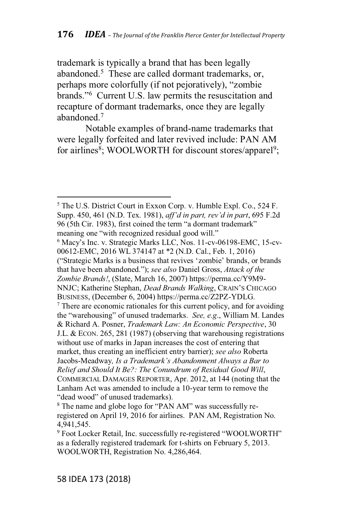trademark is typically a brand that has been legally abandoned.<sup>5</sup> These are called dormant trademarks, or, perhaps more colorfully (if not pejoratively), "zombie brands."<sup>6</sup> Current U.S. law permits the resuscitation and recapture of dormant trademarks, once they are legally abandoned.7

Notable examples of brand-name trademarks that were legally forfeited and later revived include: PAN AM for airlines<sup>8</sup>; WOOLWORTH for discount stores/apparel<sup>9</sup>;

<sup>5</sup> The U.S. District Court in Exxon Corp. v. Humble Expl. Co., 524 F. Supp. 450, 461 (N.D. Tex. 1981), *aff'd in part, rev'd in part,* 695 F.2d 96 (5th Cir. 1983), first coined the term "a dormant trademark" meaning one "with recognized residual good will."  $6$  Macy's Inc. v. Strategic Marks LLC, Nos. 11-cv-06198-EMC, 15-cv-00612-EMC, 2016 WL 374147 at \*2 (N.D. Cal., Feb. 1, 2016) ("Strategic Marks is a business that revives 'zombie' brands, or brands that have been abandoned."); see also Daniel Gross, Attack of the *Zombie Brands!*, (Slate, March 16, 2007) https://perma.cc/Y9M9- NNJC; Katherine Stephan, *Dead Brands Walking*, CRAIN'S CHICAGO BUSINESS, (December 6, 2004) https://perma.cc/Z2PZ-YDLG.  $<sup>7</sup>$  There are economic rationales for this current policy, and for avoiding</sup> the "warehousing" of unused trademarks. See, e.g., William M. Landes & Richard A. Posner, *Trademark Law: An Economic Perspective*, 30 J.L. & ECON. 265, 281 (1987) (observing that warehousing registrations without use of marks in Japan increases the cost of entering that market, thus creating an inefficient entry barrier); *see also* Roberta Jacobs-Meadway, Is a Trademark's Abandonment Always a Bar to *Relief and Should It Be?: The Conundrum of Residual Good Will*, COMMERCIAL DAMAGES REPORTER, Apr. 2012, at 144 (noting that the Lanham Act was amended to include a 10-year term to remove the "dead wood" of unused trademarks).

<sup>&</sup>lt;sup>8</sup> The name and globe logo for "PAN AM" was successfully reregistered on April 19, 2016 for airlines. PAN AM, Registration No. 4,941,545.

<sup>&</sup>lt;sup>9</sup> Foot Locker Retail, Inc. successfully re-registered "WOOLWORTH" as a federally registered trademark for t-shirts on February 5, 2013. WOOLWORTH, Registration No. 4,286,464.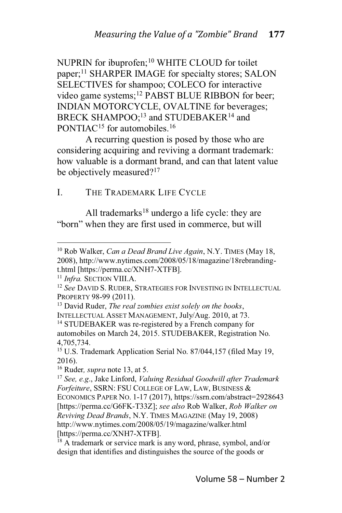NUPRIN for ibuprofen;<sup>10</sup> WHITE CLOUD for toilet paper;<sup>11</sup> SHARPER IMAGE for specialty stores; SALON SELECTIVES for shampoo; COLECO for interactive video game systems;<sup>12</sup> PABST BLUE RIBBON for beer; INDIAN MOTORCYCLE, OVALTINE for beverages; BRECK SHAMPOO;<sup>13</sup> and STUDEBAKER<sup>14</sup> and PONTIAC<sup>15</sup> for automobiles.<sup>16</sup>

A recurring question is posed by those who are considering acquiring and reviving a dormant trademark: how valuable is a dormant brand, and can that latent value be objectively measured?<sup>17</sup>

## I. THE TRADEMARK LIFE CYCLE

All trademarks $18$  undergo a life cycle: they are "born" when they are first used in commerce, but will

<sup>10</sup> Rob Walker, *Can a Dead Brand Live Again*, N.Y. TIMES (May 18, 2008), http://www.nytimes.com/2008/05/18/magazine/18rebrandingt.html [https://perma.cc/XNH7-XTFB].

<sup>11</sup> *Infra.* SECTION VIII.A.

<sup>12</sup> *See* DAVID S. RUDER, STRATEGIES FOR INVESTING IN INTELLECTUAL PROPERTY 98-99 (2011).

<sup>13</sup> David Ruder, *The real zombies exist solely on the books*, INTELLECTUAL ASSET MANAGEMENT, July/Aug. 2010, at 73.

<sup>14</sup> STUDEBAKER was re-registered by a French company for automobiles on March 24, 2015. STUDEBAKER, Registration No. 4,705,734.

<sup>&</sup>lt;sup>15</sup> U.S. Trademark Application Serial No. 87/044,157 (filed May 19, 2016).

<sup>16</sup> Ruder*, supra* note 13, at 5.

<sup>17</sup> *See, e.g*., Jake Linford, *Valuing Residual Goodwill after Trademark Forfeiture*, SSRN: FSU COLLEGE OF LAW, LAW, BUSINESS & ECONOMICS PAPER NO. 1-17 (2017), https://ssrn.com/abstract=2928643 [https://perma.cc/G6FK-T33Z]; *see also* Rob Walker, *Rob Walker on Reviving Dead Brands*, N.Y. TIMES MAGAZINE (May 19, 2008) http://www.nytimes.com/2008/05/19/magazine/walker.html [https://perma.cc/XNH7-XTFB].

<sup>&</sup>lt;sup>18</sup> A trademark or service mark is any word, phrase, symbol, and/or design that identifies and distinguishes the source of the goods or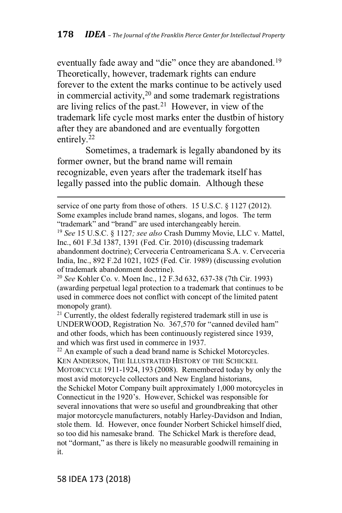eventually fade away and "die" once they are abandoned.<sup>19</sup> Theoretically, however, trademark rights can endure forever to the extent the marks continue to be actively used in commercial activity, $2<sup>0</sup>$  and some trademark registrations are living relics of the past.<sup>21</sup> However, in view of the trademark life cycle most marks enter the dustbin of history after they are abandoned and are eventually forgotten entirely.<sup>22</sup>

Sometimes, a trademark is legally abandoned by its former owner, but the brand name will remain recognizable, even years after the trademark itself has legally passed into the public domain. Although these

service of one party from those of others. 15 U.S.C. § 1127 (2012). Some examples include brand names, slogans, and logos. The term "trademark" and "brand" are used interchangeably herein.

<sup>19</sup> *See* 15 U.S.C. § 1127*; see also* Crash Dummy Movie, LLC v. Mattel, Inc., 601 F.3d 1387, 1391 (Fed. Cir. 2010) (discussing trademark abandonment doctrine); Cerveceria Centroamericana S.A. v. Cerveceria India, Inc., 892 F.2d 1021, 1025 (Fed. Cir. 1989) (discussing evolution of trademark abandonment doctrine).

<sup>20</sup> *See* Kohler Co. v. Moen Inc., 12 F.3d 632, 637-38 (7th Cir. 1993) (awarding perpetual legal protection to a trademark that continues to be used in commerce does not conflict with concept of the limited patent monopoly grant).

 $21$  Currently, the oldest federally registered trademark still in use is UNDERWOOD, Registration No. 367,570 for "canned deviled ham" and other foods, which has been continuously registered since 1939, and which was first used in commerce in 1937.

<sup>22</sup> An example of such a dead brand name is Schickel Motorcycles. KEN ANDERSON, THE ILLUSTRATED HISTORY OF THE SCHICKEL MOTORCYCLE 1911-1924, 193 (2008). Remembered today by only the most avid motorcycle collectors and New England historians, the Schickel Motor Company built approximately 1,000 motorcycles in Connecticut in the 1920's. However, Schickel was responsible for several innovations that were so useful and groundbreaking that other major motorcycle manufacturers, notably Harley-Davidson and Indian, stole them. Id. However, once founder Norbert Schickel himself died, so too did his namesake brand. The Schickel Mark is therefore dead, not "dormant," as there is likely no measurable goodwill remaining in it.

58 IDEA 173 (2018)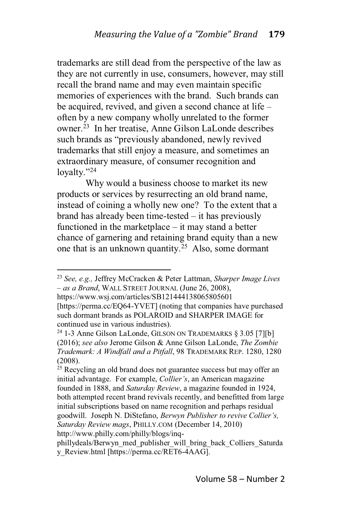trademarks are still dead from the perspective of the law as they are not currently in use, consumers, however, may still recall the brand name and may even maintain specific memories of experiences with the brand. Such brands can be acquired, revived, and given a second chance at life  $$ often by a new company wholly unrelated to the former owner.23 In her treatise, Anne Gilson LaLonde describes such brands as "previously abandoned, newly revived trademarks that still enjoy a measure, and sometimes an extraordinary measure, of consumer recognition and lovalty."24

Why would a business choose to market its new products or services by resurrecting an old brand name, instead of coining a wholly new one? To the extent that a brand has already been time-tested  $-$  it has previously functioned in the marketplace  $-$  it may stand a better chance of garnering and retaining brand equity than a new one that is an unknown quantity.<sup>25</sup> Also, some dormant

https://www.wsj.com/articles/SB121444138065805601

<sup>23</sup> *See, e.g.,* Jeffrey McCracken & Peter Lattman, *Sharper Image Lives H as a Brand*, WALL STREET JOURNAL (June 26, 2008),

<sup>[</sup>https://perma.cc/EQ64-YVET] (noting that companies have purchased such dormant brands as POLAROID and SHARPER IMAGE for continued use in various industries).

<sup>&</sup>lt;sup>24</sup> 1-3 Anne Gilson LaLonde, GILSON ON TRADEMARKS  $\S 3.05$  [7][b] (2016); *see also* Jerome Gilson & Anne Gilson LaLonde, *The Zombie Trademark: A Windfall and a Pitfall*, 98 TRADEMARK REP. 1280, 1280 (2008).

<sup>&</sup>lt;sup>25</sup> Recycling an old brand does not guarantee success but may offer an initial advantage. For example, *Collier's*, an American magazine founded in 1888, and *Saturday Review*, a magazine founded in 1924, both attempted recent brand revivals recently, and benefitted from large initial subscriptions based on name recognition and perhaps residual goodwill. Joseph N. DiStefano, *Berwyn Publisher to revive Collier's*, *Saturday Review mags*, PHILLY.COM (December 14, 2010) http://www.philly.com/philly/blogs/inq-

phillydeals/Berwyn\_med\_publisher\_will\_bring\_back\_Colliers\_Saturda y\_Review.html [https://perma.cc/RET6-4AAG].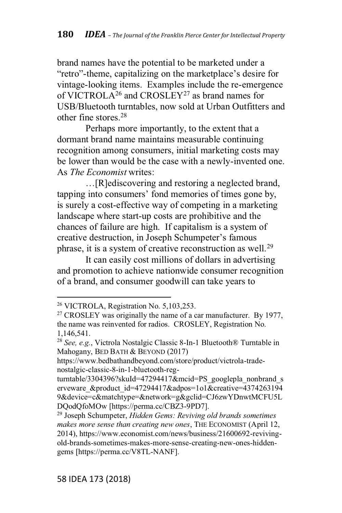brand names have the potential to be marketed under a "retro"-theme, capitalizing on the marketplace's desire for vintage-looking items. Examples include the re-emergence of VICTROLA<sup>26</sup> and CROSLEY<sup>27</sup> as brand names for USB/Bluetooth turntables, now sold at Urban Outfitters and other fine stores.28

Perhaps more importantly, to the extent that a dormant brand name maintains measurable continuing recognition among consumers, initial marketing costs may be lower than would be the case with a newly-invented one. As *The Economist* writes:

 $\ldots$ [R]ediscovering and restoring a neglected brand, tapping into consumers' fond memories of times gone by, is surely a cost-effective way of competing in a marketing landscape where start-up costs are prohibitive and the chances of failure are high. If capitalism is a system of creative destruction, in Joseph Schumpeter's famous phrase, it is a system of creative reconstruction as well.<sup>29</sup>

It can easily cost millions of dollars in advertising and promotion to achieve nationwide consumer recognition of a brand, and consumer goodwill can take years to

<sup>26</sup> VICTROLA, Registration No. 5,103,253.

 $27$  CROSLEY was originally the name of a car manufacturer. By 1977, the name was reinvented for radios. CROSLEY, Registration No. 1,146,541.

<sup>28</sup> *See, e.g.*, Victrola Nostalgic Classic 8-In-1 Bluetooth® Turntable in Mahogany, BED BATH & BEYOND (2017)

https://www.bedbathandbeyond.com/store/product/victrola-tradenostalgic-classic-8-in-1-bluetooth-reg-

turntable/3304396?skuId=47294417&mcid=PS\_googlepla\_nonbrand\_s erveware &product id=47294417&adpos=1o1&creative=4374263194 9&device=c&matchtype=&network=g&gclid=CJ6zwYDnwtMCFU5L DQodQfoMOw [https://perma.cc/CBZ3-9PD7].

<sup>29</sup> Joseph Schumpeter, *Hidden Gems: Reviving old brands sometimes makes more sense than creating new ones*, THE ECONOMIST (April 12, 2014), https://www.economist.com/news/business/21600692-revivingold-brands-sometimes-makes-more-sense-creating-new-ones-hiddengems [https://perma.cc/V8TL-NANF].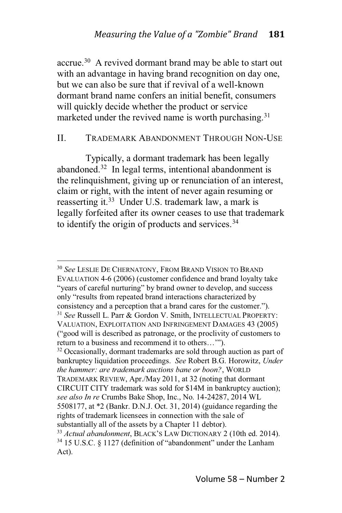accrue.30 A revived dormant brand may be able to start out with an advantage in having brand recognition on day one, but we can also be sure that if revival of a well-known dormant brand name confers an initial benefit, consumers will quickly decide whether the product or service marketed under the revived name is worth purchasing.<sup>31</sup>

#### II. TRADEMARK ABANDONMENT THROUGH NON-USE

Typically, a dormant trademark has been legally abandoned.32 In legal terms, intentional abandonment is the relinquishment, giving up or renunciation of an interest, claim or right, with the intent of never again resuming or reasserting it.<sup>33</sup> Under U.S. trademark law, a mark is legally forfeited after its owner ceases to use that trademark to identify the origin of products and services.<sup>34</sup>

<sup>30</sup> *See* LESLIE DE CHERNATONY, FROM BRAND VISION TO BRAND EVALUATION 4-6 (2006) (customer confidence and brand loyalty take "years of careful nurturing" by brand owner to develop, and success only "results from repeated brand interactions characterized by consistency and a perception that a brand cares for the customer."). <sup>31</sup> *See* Russell L. Parr & Gordon V. Smith, INTELLECTUAL PROPERTY: VALUATION, EXPLOITATION AND INFRINGEMENT DAMAGES 43 (2005) ("good will is described as patronage, or the proclivity of customers to return to a business and recommend it to others...""). <sup>32</sup> Occasionally, dormant trademarks are sold through auction as part of bankruptcy liquidation proceedings. *See* Robert B.G. Horowitz, *Under the hammer: are trademark auctions bane or boon?*, WORLD TRADEMARK REVIEW, Apr./May 2011, at 32 (noting that dormant CIRCUIT CITY trademark was sold for \$14M in bankruptcy auction); *see also In re* Crumbs Bake Shop, Inc., No. 14-24287, 2014 WL 5508177, at \*2 (Bankr. D.N.J. Oct. 31, 2014) (guidance regarding the rights of trademark licensees in connection with the sale of substantially all of the assets by a Chapter 11 debtor). <sup>33</sup> *Actual abandonment*, BLACK'S LAW DICTIONARY 2 (10th ed. 2014).  $34$  15 U.S.C. § 1127 (definition of "abandonment" under the Lanham Act).

Volume 58 - Number 2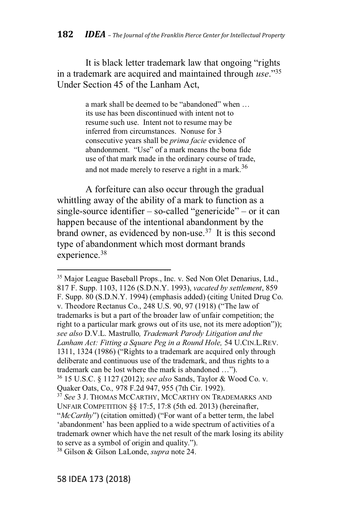It is black letter trademark law that ongoing "rights" in a trademark are acquired and maintained through *use*."<sup>35</sup> Under Section 45 of the Lanham Act,

> a mark shall be deemed to be "abandoned" when ... its use has been discontinued with intent not to resume such use. Intent not to resume may be inferred from circumstances. Nonuse for 3 consecutive years shall be *prima facie* evidence of abandonment. "Use" of a mark means the bona fide use of that mark made in the ordinary course of trade, and not made merely to reserve a right in a mark.<sup>36</sup>

A forfeiture can also occur through the gradual whittling away of the ability of a mark to function as a single-source identifier  $-$  so-called "genericide"  $-$  or it can happen because of the intentional abandonment by the brand owner, as evidenced by non-use.37 It is this second type of abandonment which most dormant brands experience.<sup>38</sup>

<sup>&</sup>lt;sup>35</sup> Major League Baseball Props., Inc. v. Sed Non Olet Denarius, Ltd., 817 F. Supp. 1103, 1126 (S.D.N.Y. 1993), *vacated by settlement*, 859 F. Supp. 80 (S.D.N.Y. 1994) (emphasis added) (citing United Drug Co. v. Theodore Rectanus Co., 248 U.S. 90, 97 (1918) ("The law of trademarks is but a part of the broader law of unfair competition; the right to a particular mark grows out of its use, not its mere adoption")); *see also* D.V.L. Mastrullo*, Trademark Parody Litigation and the Lanham Act: Fitting a Square Peg in a Round Hole,* 54 U.CIN.L.REV. 1311, 1324 (1986) ("Rights to a trademark are acquired only through deliberate and continuous use of the trademark, and thus rights to a trademark can be lost where the mark is abandoned ..."). <sup>36</sup> 15 U.S.C. § 1127 (2012); *see also* Sands, Taylor & Wood Co. v. Quaker Oats, Co.*,* 978 F.2d 947, 955 (7th Cir. 1992). <sup>37</sup> *See* 3 J. THOMAS MCCARTHY, MCCARTHY ON TRADEMARKS AND UNFAIR COMPETITION §§ 17:5, 17:8 (5th ed. 2013) (hereinafter, "McCarthy") (citation omitted) ("For want of a better term, the label" 'abandonment' has been applied to a wide spectrum of activities of a trademark owner which have the net result of the mark losing its ability to serve as a symbol of origin and quality.").

<sup>38</sup> Gilson & Gilson LaLonde, *supra* note 24.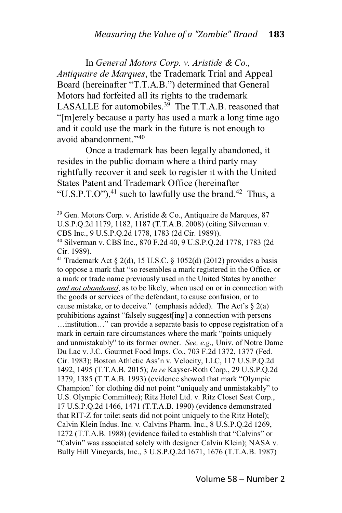In *General Motors Corp. v. Aristide & Co., Antiquaire de Marques*, the Trademark Trial and Appeal Board (hereinafter "T.T.A.B.") determined that General Motors had forfeited all its rights to the trademark LASALLE for automobiles.<sup>39</sup> The T.T.A.B. reasoned that "[m]erely because a party has used a mark a long time ago and it could use the mark in the future is not enough to avoid abandonment."40

Once a trademark has been legally abandoned, it resides in the public domain where a third party may rightfully recover it and seek to register it with the United States Patent and Trademark Office (hereinafter "U.S.P.T.O"), $^{41}$  such to lawfully use the brand.<sup>42</sup> Thus, a

<sup>41</sup> Trademark Act § 2(d), 15 U.S.C. § 1052(d) (2012) provides a basis to oppose a mark that "so resembles a mark registered in the Office, or a mark or trade name previously used in the United States by another *and not abandoned*, as to be likely, when used on or in connection with the goods or services of the defendant, to cause confusion, or to cause mistake, or to deceive." (emphasis added). The Act's  $\S$  2(a) prohibitions against "falsely suggest[ing] a connection with persons ...institution..." can provide a separate basis to oppose registration of a mark in certain rare circumstances where the mark "points uniquely and unmistakably" to its former owner. See, e.g., Univ. of Notre Dame Du Lac v. J.C. Gourmet Food Imps. Co., 703 F.2d 1372, 1377 (Fed. Cir. 1983); Boston Athletic Ass'n v. Velocity, LLC, 117 U.S.P.Q.2d 1492, 1495 (T.T.A.B. 2015); *In re* Kayser-Roth Corp., 29 U.S.P.Q.2d 1379, 1385 (T.T.A.B. 1993) (evidence showed that mark "Olympic Champion" for clothing did not point "uniquely and unmistakably" to U.S. Olympic Committee); Ritz Hotel Ltd. v. Ritz Closet Seat Corp., 17 U.S.P.Q.2d 1466, 1471 (T.T.A.B. 1990) (evidence demonstrated that RIT-Z for toilet seats did not point uniquely to the Ritz Hotel); Calvin Klein Indus. Inc. v. Calvins Pharm. Inc., 8 U.S.P.Q.2d 1269, 1272 (T.T.A.B. 1988) (evidence failed to establish that "Calvins" or "Calvin" was associated solely with designer Calvin Klein); NASA v. Bully Hill Vineyards, Inc., 3 U.S.P.Q.2d 1671, 1676 (T.T.A.B. 1987)

<sup>39</sup> Gen. Motors Corp. v. Aristide & Co., Antiquaire de Marques, 87 U.S.P.Q.2d 1179, 1182, 1187 (T.T.A.B. 2008) (citing Silverman v. CBS Inc., 9 U.S.P.Q.2d 1778, 1783 (2d Cir. 1989)).

<sup>40</sup> Silverman v. CBS Inc., 870 F.2d 40, 9 U.S.P.Q.2d 1778, 1783 (2d Cir. 1989).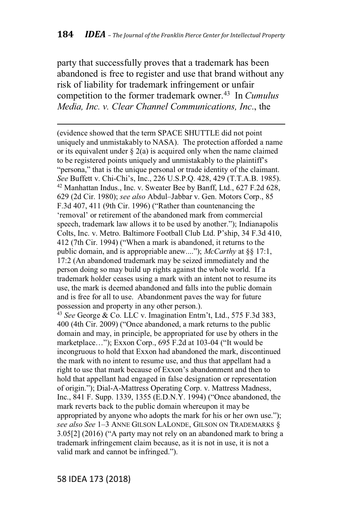party that successfully proves that a trademark has been abandoned is free to register and use that brand without any risk of liability for trademark infringement or unfair competition to the former trademark owner.<sup>43</sup> In *Cumulus Media, Inc. v. Clear Channel Communications, Inc*., the

(evidence showed that the term SPACE SHUTTLE did not point uniquely and unmistakably to NASA). The protection afforded a name or its equivalent under  $\S 2(a)$  is acquired only when the name claimed to be registered points uniquely and unmistakably to the plaintiff's "persona," that is the unique personal or trade identity of the claimant. *See* Buffett v. Chi-Chi's, Inc., 226 U.S.P.Q. 428, 429 (T.T.A.B. 1985). <sup>42</sup> Manhattan Indus., Inc. v. Sweater Bee by Banff, Ltd., 627 F.2d 628, 629 (2d Cir. 1980); see also Abdul-Jabbar v. Gen. Motors Corp., 85  $F.3d$  407, 411 (9th Cir. 1996) ("Rather than countenancing the 'removal' or retirement of the abandoned mark from commercial speech, trademark law allows it to be used by another."); Indianapolis Colts, Inc. v. Metro. Baltimore Football Club Ltd. P'ship, 34 F.3d 410, 412 (7th Cir. 1994) ("When a mark is abandoned, it returns to the public domain, and is appropriable anew....");  $McCarthy$  at §§ 17:1, 17:2 (An abandoned trademark may be seized immediately and the person doing so may build up rights against the whole world. If a trademark holder ceases using a mark with an intent not to resume its use, the mark is deemed abandoned and falls into the public domain and is free for all to use. Abandonment paves the way for future possession and property in any other person.).

<sup>43</sup> *See* George & Co. LLC v. Imagination Entm't, Ltd., 575 F.3d 383, 400 (4th Cir. 2009) ("Once abandoned, a mark returns to the public domain and may, in principle, be appropriated for use by others in the marketplace..."); Exxon Corp., 695 F.2d at 103-04 ("It would be incongruous to hold that Exxon had abandoned the mark, discontinued the mark with no intent to resume use, and thus that appellant had a right to use that mark because of Exxon's abandonment and then to hold that appellant had engaged in false designation or representation of origin."); Dial-A-Mattress Operating Corp. v. Mattress Madness, Inc., 841 F. Supp. 1339, 1355 (E.D.N.Y. 1994) ("Once abandoned, the mark reverts back to the public domain whereupon it may be appropriated by anyone who adopts the mark for his or her own use."); *see also See* 1[3 ANNE GILSON LALONDE, GILSON ON TRADEMARKS §  $3.05[2]$  (2016) ("A party may not rely on an abandoned mark to bring a trademark infringement claim because, as it is not in use, it is not a valid mark and cannot be infringed.").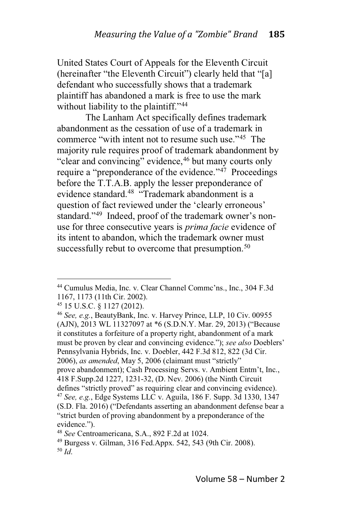United States Court of Appeals for the Eleventh Circuit (hereinafter "the Eleventh Circuit") clearly held that " $[a]$ defendant who successfully shows that a trademark plaintiff has abandoned a mark is free to use the mark without liability to the plaintiff."<sup>44</sup>

The Lanham Act specifically defines trademark abandonment as the cessation of use of a trademark in commerce "with intent not to resume such use." $45$  The majority rule requires proof of trademark abandonment by "clear and convincing" evidence,  $46$  but many courts only require a "preponderance of the evidence." $47$  Proceedings before the T.T.A.B. apply the lesser preponderance of evidence standard.<sup>48</sup>  $\cdot$ Frademark abandonment is a question of fact reviewed under the 'clearly erroneous' standard."<sup>49</sup> Indeed, proof of the trademark owner's nonuse for three consecutive years is *prima facie* evidence of its intent to abandon, which the trademark owner must successfully rebut to overcome that presumption.<sup>50</sup>

<sup>45</sup> 15 U.S.C. § 1127 (2012).

<sup>&</sup>lt;sup>44</sup> Cumulus Media, Inc. v. Clear Channel Commc'ns., Inc., 304 F.3d 1167, 1173 (11th Cir. 2002).

<sup>46</sup> *See, e.g.*, BeautyBank, Inc. v. Harvey Prince, LLP, 10 Civ. 00955 (AJN), 2013 WL 11327097 at \*6 (S.D.N.Y. Mar. 29, 2013) ("Because it constitutes a forfeiture of a property right, abandonment of a mark must be proven by clear and convincing evidence."); see also Doeblers' Pennsylvania Hybrids, Inc. v. Doebler, 442 F.3d 812, 822 (3d Cir. 2006), *as amended*, May 5, 2006 (claimant must "strictly" prove abandonment); Cash Processing Servs. v. Ambient Entm't, Inc., 418 F.Supp.2d 1227, 1231-32, (D. Nev. 2006) (the Ninth Circuit defines "strictly proved" as requiring clear and convincing evidence). <sup>47</sup> *See, e.g.*, Edge Systems LLC v. Aguila, 186 F. Supp. 3d 1330, 1347 (S.D. Fla. 2016) ("Defendants asserting an abandonment defense bear a "strict burden of proving abandonment by a preponderance of the evidence.").

<sup>48</sup> *See* Centroamericana, S.A., 892 F.2d at 1024.

<sup>49</sup> Burgess v. Gilman, 316 Fed.Appx. 542, 543 (9th Cir. 2008). <sup>50</sup> *Id*.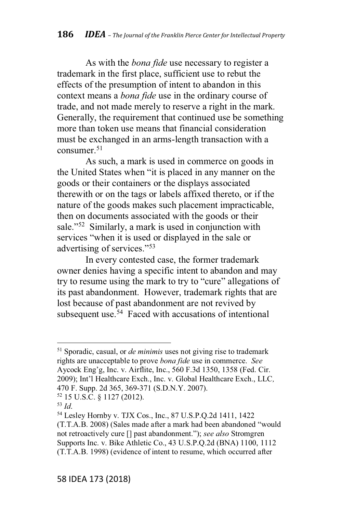As with the *bona fide* use necessary to register a trademark in the first place, sufficient use to rebut the effects of the presumption of intent to abandon in this context means a *bona fide* use in the ordinary course of trade, and not made merely to reserve a right in the mark. Generally, the requirement that continued use be something more than token use means that financial consideration must be exchanged in an arms-length transaction with a consumer $51$ 

As such, a mark is used in commerce on goods in the United States when "it is placed in any manner on the goods or their containers or the displays associated therewith or on the tags or labels affixed thereto, or if the nature of the goods makes such placement impracticable, then on documents associated with the goods or their sale."<sup>52</sup> Similarly, a mark is used in conjunction with services "when it is used or displayed in the sale or advertising of services."<sup>53</sup>

In every contested case, the former trademark owner denies having a specific intent to abandon and may try to resume using the mark to try to "cure" allegations of its past abandonment. However, trademark rights that are lost because of past abandonment are not revived by subsequent use.<sup>54</sup> Faced with accusations of intentional

<sup>51</sup> Sporadic, casual, or *de minimis* uses not giving rise to trademark rights are unacceptable to prove *bona fide* use in commerce. *See* Aycock Eng'g, Inc. v. Airflite, Inc., 560 F.3d 1350, 1358 (Fed. Cir. 2009); Int'l Healthcare Exch., Inc. v. Global Healthcare Exch., LLC, 470 F. Supp. 2d 365, 369-371 (S.D.N.Y. 2007).

<sup>52</sup> 15 U.S.C. § 1127 (2012).

<sup>53</sup> *Id*.

<sup>54</sup> Lesley Hornby v. TJX Cos., Inc., 87 U.S.P.Q.2d 1411, 1422 (T.T.A.B. 2008) (Sales made after a mark had been abandoned "would not retroactively cure [] past abandonment."); see also Stromgren Supports Inc. v. Bike Athletic Co., 43 U.S.P.Q.2d (BNA) 1100, 1112 (T.T.A.B. 1998) (evidence of intent to resume, which occurred after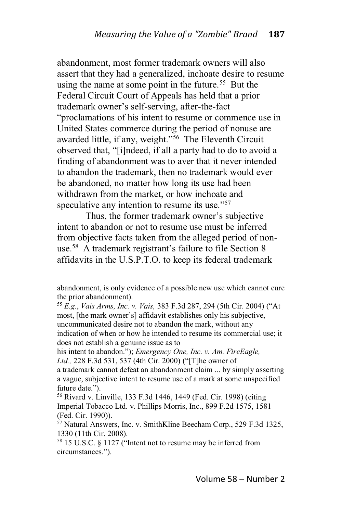abandonment, most former trademark owners will also assert that they had a generalized, inchoate desire to resume using the name at some point in the future.<sup>55</sup> But the Federal Circuit Court of Appeals has held that a prior trademark owner's self-serving, after-the-fact "proclamations of his intent to resume or commence use in United States commerce during the period of nonuse are awarded little, if any, weight."<sup>56</sup> The Eleventh Circuit observed that, "[i]ndeed, if all a party had to do to avoid a finding of abandonment was to aver that it never intended to abandon the trademark, then no trademark would ever be abandoned, no matter how long its use had been withdrawn from the market, or how inchoate and speculative any intention to resume its use."<sup>57</sup>

Thus, the former trademark owner's subjective intent to abandon or not to resume use must be inferred from objective facts taken from the alleged period of nonuse.<sup>58</sup> A trademark registrant's failure to file Section  $8$ affidavits in the U.S.P.T.O. to keep its federal trademark

abandonment, is only evidence of a possible new use which cannot cure the prior abandonment).

<sup>55</sup> E.g., *Vais Arms, Inc. v. Vais,* 383 F.3d 287, 294 (5th Cir. 2004) ("At most, [the mark owner's] affidavit establishes only his subjective, uncommunicated desire not to abandon the mark, without any indication of when or how he intended to resume its commercial use; it does not establish a genuine issue as to

his intent to abandon."); *Emergency One, Inc. v. Am. FireEagle,* Ltd., 228 F.3d 531, 537 (4th Cir. 2000) ("[T]he owner of

a trademark cannot defeat an abandonment claim ... by simply asserting a vague, subjective intent to resume use of a mark at some unspecified future date.").

<sup>56</sup> Rivard v. Linville, 133 F.3d 1446, 1449 (Fed. Cir. 1998) (citing Imperial Tobacco Ltd. v. Phillips Morris, Inc., 899 F.2d 1575, 1581 (Fed. Cir. 1990)).

<sup>57</sup> Natural Answers, Inc. v. SmithKline Beecham Corp., 529 F.3d 1325, 1330 (11th Cir. 2008).

 $58$  15 U.S.C. § 1127 ("Intent not to resume may be inferred from circumstances.").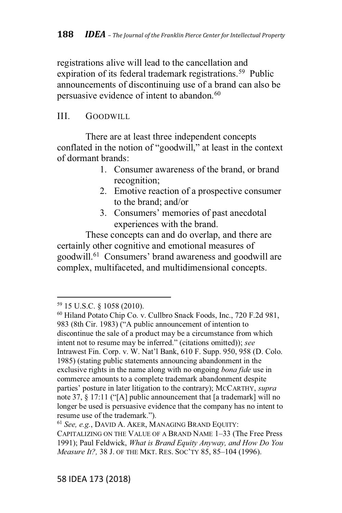registrations alive will lead to the cancellation and expiration of its federal trademark registrations.<sup>59</sup> Public announcements of discontinuing use of a brand can also be persuasive evidence of intent to abandon.<sup>60</sup>

## III. GOODWILL

There are at least three independent concepts conflated in the notion of "goodwill," at least in the context of dormant brands:

- 1. Consumer awareness of the brand, or brand recognition;
- 2. Emotive reaction of a prospective consumer to the brand; and/or
- 3. Consumers' memories of past anecdotal experiences with the brand.

These concepts can and do overlap, and there are certainly other cognitive and emotional measures of goodwill.<sup>61</sup> Consumers' brand awareness and goodwill are complex, multifaceted, and multidimensional concepts.

<sup>59</sup> 15 U.S.C. § 1058 (2010).

<sup>60</sup> Hiland Potato Chip Co. v. Cullbro Snack Foods, Inc., 720 F.2d 981, 983 (8th Cir. 1983) ("A public announcement of intention to discontinue the sale of a product may be a circumstance from which intent not to resume may be inferred." (citations omitted)); see Intrawest Fin. Corp. v. W. Nat'l Bank, 610 F. Supp. 950, 958 (D. Colo. 1985) (stating public statements announcing abandonment in the exclusive rights in the name along with no ongoing *bona fide* use in commerce amounts to a complete trademark abandonment despite parties' posture in later litigation to the contrary); MCCARTHY, *supra* note 37, § 17:11 ("[A] public announcement that [a trademark] will no longer be used is persuasive evidence that the company has no intent to resume use of the trademark.").

<sup>61</sup> *See, e.g.*, DAVID A. AKER, MANAGING BRAND EQUITY:

CAPITALIZING ON THE VALUE OF A BRAND NAME 1-33 (The Free Press 1991); Paul Feldwick, *What is Brand Equity Anyway, and How Do You Measure It?, 38 J. OF THE MKT. RES. SOC'TY 85, 85-104 (1996).*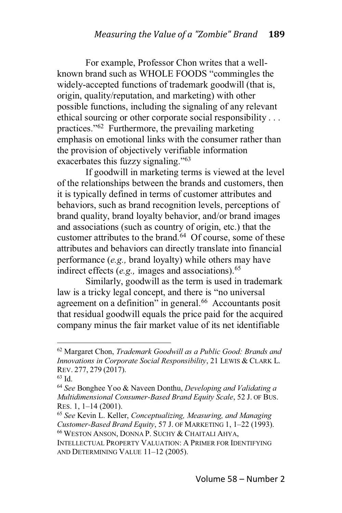For example, Professor Chon writes that a wellknown brand such as WHOLE FOODS "commingles the widely-accepted functions of trademark goodwill (that is, origin, quality/reputation, and marketing) with other possible functions, including the signaling of any relevant ethical sourcing or other corporate social responsibility ... practices." $62$  Furthermore, the prevailing marketing emphasis on emotional links with the consumer rather than the provision of objectively verifiable information exacerbates this fuzzy signaling." $63$ 

If goodwill in marketing terms is viewed at the level of the relationships between the brands and customers, then it is typically defined in terms of customer attributes and behaviors, such as brand recognition levels, perceptions of brand quality, brand loyalty behavior, and/or brand images and associations (such as country of origin, etc.) that the customer attributes to the brand. $64$  Of course, some of these attributes and behaviors can directly translate into financial performance (*e.g.,* brand loyalty) while others may have indirect effects (*e.g.*, images and associations).<sup>65</sup>

Similarly, goodwill as the term is used in trademark law is a tricky legal concept, and there is "no universal agreement on a definition" in general. $^{66}$  Accountants posit that residual goodwill equals the price paid for the acquired company minus the fair market value of its net identifiable

<sup>62</sup> Margaret Chon, *Trademark Goodwill as a Public Good: Brands and Innovations in Corporate Social Responsibility*, 21 LEWIS & CLARK L. REV. 277, 279 (2017).

<sup>63</sup> Id.

<sup>64</sup> *See* Bonghee Yoo & Naveen Donthu, *Developing and Validating a Multidimensional Consumer-Based Brand Equity Scale*, 52 J. OF BUS. RES. 1,  $1-14$  (2001).

<sup>65</sup> *See* Kevin L. Keller, *Conceptualizing, Measuring, and Managing Customer-Based Brand Equity, 57 J. OF MARKETING 1, 1-22 (1993).* <sup>66</sup> WESTON ANSON, DONNA P. SUCHY & CHAITALI AHYA,

INTELLECTUAL PROPERTY VALUATION:APRIMER FOR IDENTIFYING AND DETERMINING VALUE 11-12 (2005).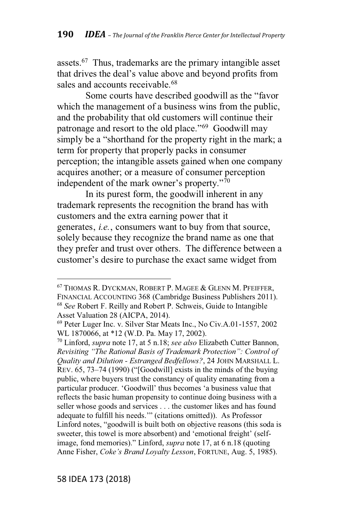assets.<sup>67</sup> Thus, trademarks are the primary intangible asset that drives the deal's value above and beyond profits from sales and accounts receivable.<sup>68</sup>

Some courts have described goodwill as the "favor" which the management of a business wins from the public, and the probability that old customers will continue their patronage and resort to the old place."<sup>69</sup> Goodwill may simply be a "shorthand for the property right in the mark; a term for property that properly packs in consumer perception; the intangible assets gained when one company acquires another; or a measure of consumer perception independent of the mark owner's property."<sup>70</sup>

In its purest form, the goodwill inherent in any trademark represents the recognition the brand has with customers and the extra earning power that it generates, *i.e.*, consumers want to buy from that source, solely because they recognize the brand name as one that they prefer and trust over others. The difference between a customer's desire to purchase the exact same widget from

<sup>67</sup> THOMAS R. DYCKMAN, ROBERT P. MAGEE & GLENN M. PFEIFFER, FINANCIAL ACCOUNTING 368 (Cambridge Business Publishers 2011). <sup>68</sup> *See* Robert F. Reilly and Robert P. Schweis, Guide to Intangible Asset Valuation 28 (AICPA, 2014).

<sup>69</sup> Peter Luger Inc. v. Silver Star Meats Inc., No Civ.A.01-1557, 2002 WL 1870066, at \*12 (W.D. Pa. May 17, 2002).

<sup>70</sup> Linford, *supra* note 17, at 5 n.18; *see also* Elizabeth Cutter Bannon, *Revisiting* "The Rational Basis of Trademark Protection": Control of *Quality and Dilution - Estranged Bedfellows?*, 24 JOHN MARSHALL L. REV.  $65$ ,  $73-74$  (1990) ("[Goodwill] exists in the minds of the buying public, where buyers trust the constancy of quality emanating from a particular producer. 'Goodwill' thus becomes 'a business value that reflects the basic human propensity to continue doing business with a seller whose goods and services . . . the customer likes and has found adequate to fulfill his needs."" (citations omitted)). As Professor Linford notes, "goodwill is built both on objective reasons (this soda is sweeter, this towel is more absorbent) and 'emotional freight' (selfimage, fond memories)." Linford, *supra* note 17, at 6 n.18 (quoting Anne Fisher, *Coke's Brand Lovalty Lesson*, FORTUNE, Aug. 5, 1985).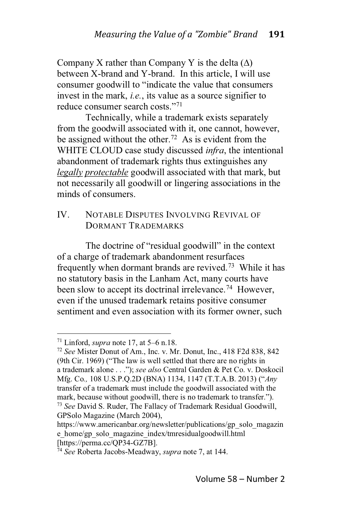Company X rather than Company Y is the delta  $(\Delta)$ between X-brand and Y-brand. In this article, I will use consumer goodwill to "indicate the value that consumers" invest in the mark, *i.e.*, its value as a source signifier to reduce consumer search costs."71

Technically, while a trademark exists separately from the goodwill associated with it, one cannot, however, be assigned without the other.<sup>72</sup> As is evident from the WHITE CLOUD case study discussed *infra*, the intentional abandonment of trademark rights thus extinguishes any *legally protectable* goodwill associated with that mark, but not necessarily all goodwill or lingering associations in the minds of consumers.

## IV. NOTABLE DISPUTES INVOLVING REVIVAL OF DORMANT TRADEMARKS

The doctrine of "residual goodwill" in the context of a charge of trademark abandonment resurfaces frequently when dormant brands are revived.73 While it has no statutory basis in the Lanham Act, many courts have been slow to accept its doctrinal irrelevance.<sup>74</sup> However, even if the unused trademark retains positive consumer sentiment and even association with its former owner, such

<sup>&</sup>lt;sup>71</sup> Linford, *supra* note 17, at  $5-6$  n.18.

<sup>72</sup> *See* Mister Donut of Am., Inc. v. Mr. Donut, Inc., 418 F2d 838, 842 (9th Cir. 1969) ("The law is well settled that there are no rights in a trademark alone . . ."); see also Central Garden & Pet Co. v. Doskocil Mfg. Co., 108 U.S.P.Q.2D (BNA) 1134, 1147 (T.T.A.B. 2013) ("Any transfer of a trademark must include the goodwill associated with the mark, because without goodwill, there is no trademark to transfer."). <sup>73</sup> *See* David S. Ruder, The Fallacy of Trademark Residual Goodwill, GPSolo Magazine (March 2004),

https://www.americanbar.org/newsletter/publications/gp\_solo\_magazin e\_home/gp\_solo\_magazine\_index/tmresidualgoodwill.html [https://perma.cc/QP34-GZ7B].

<sup>74</sup> *See* Roberta Jacobs-Meadway, *supra* note 7, at 144.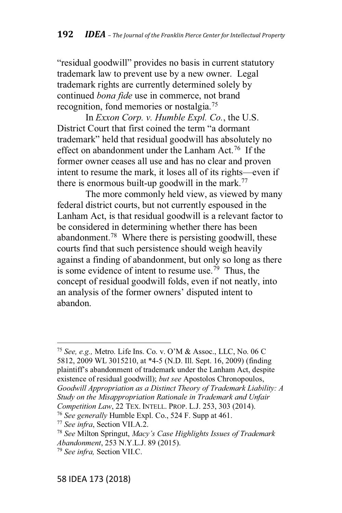"residual goodwill" provides no basis in current statutory trademark law to prevent use by a new owner. Legal trademark rights are currently determined solely by continued *bona fide* use in commerce, not brand recognition, fond memories or nostalgia.75

In *Exxon Corp. v. Humble Expl. Co.*, the U.S. District Court that first coined the term "a dormant trademark" held that residual goodwill has absolutely no effect on abandonment under the Lanham Act.<sup>76</sup> If the former owner ceases all use and has no clear and proven intent to resume the mark, it loses all of its rights—even if there is enormous built-up goodwill in the mark.<sup>77</sup>

The more commonly held view, as viewed by many federal district courts, but not currently espoused in the Lanham Act, is that residual goodwill is a relevant factor to be considered in determining whether there has been abandonment.78 Where there is persisting goodwill, these courts find that such persistence should weigh heavily against a finding of abandonment, but only so long as there is some evidence of intent to resume use.<sup>79</sup> Thus, the concept of residual goodwill folds, even if not neatly, into an analysis of the former owners' disputed intent to abandon.

<sup>&</sup>lt;sup>75</sup> See, e.g., Metro. Life Ins. Co. v. O'M & Assoc., LLC, No. 06 C 5812, 2009 WL 3015210, at \*4-5 (N.D. Ill. Sept. 16, 2009) (finding plaintiff's abandonment of trademark under the Lanham Act, despite existence of residual goodwill); *but see* Apostolos Chronopoulos, *Goodwill Appropriation as a Distinct Theory of Trademark Liability: A Study on the Misappropriation Rationale in Trademark and Unfair Competition Law*, 22 TEX. INTELL. PROP. L.J. 253, 303 (2014). <sup>76</sup> *See generally* Humble Expl. Co., 524 F. Supp at 461.

<sup>77</sup> *See infra*, Section VII.A.2.

<sup>&</sup>lt;sup>78</sup> See Milton Springut, *Macy's Case Highlights Issues of Trademark Abandonment*, 253 N.Y.L.J. 89 (2015).

<sup>79</sup> *See infra,* Section VII.C.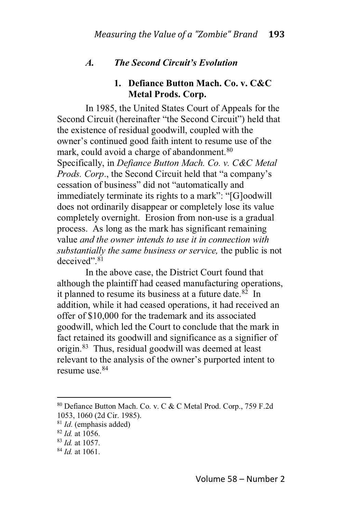## *A. The Second Circuit's Evolution*

## **1. Defiance Button Mach. Co. v. C&C Metal Prods. Corp.**

In 1985, the United States Court of Appeals for the Second Circuit (hereinafter "the Second Circuit") held that the existence of residual goodwill, coupled with the owner's continued good faith intent to resume use of the mark, could avoid a charge of abandonment.<sup>80</sup> Specifically, in *Defiance Button Mach. Co. v. C&C Metal Prods. Corp.*, the Second Circuit held that "a company's cessation of business" did not "automatically and immediately terminate its rights to a mark": "[G]oodwill does not ordinarily disappear or completely lose its value completely overnight. Erosion from non-use is a gradual process. As long as the mark has significant remaining value *and the owner intends to use it in connection with substantially the same business or service,* the public is not  $deceived" <sup>81</sup>$ 

In the above case, the District Court found that although the plaintiff had ceased manufacturing operations, it planned to resume its business at a future date. $82$  In addition, while it had ceased operations, it had received an offer of \$10,000 for the trademark and its associated goodwill, which led the Court to conclude that the mark in fact retained its goodwill and significance as a signifier of origin.83 Thus, residual goodwill was deemed at least relevant to the analysis of the owner's purported intent to resume use.84

<sup>80</sup> Defiance Button Mach. Co. v. C & C Metal Prod. Corp., 759 F.2d 1053, 1060 (2d Cir. 1985).

<sup>81</sup> *Id*. (emphasis added)

<sup>82</sup> *Id.* at 1056.

<sup>83</sup> *Id.* at 1057.

<sup>84</sup> *Id.* at 1061.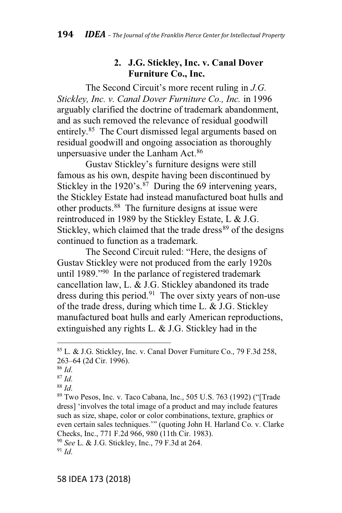#### **2. J.G. Stickley, Inc. v. Canal Dover Furniture Co., Inc.**

The Second Circuit's more recent ruling in *J.G. Stickley, Inc. v. Canal Dover Furniture Co., Inc.* in 1996 arguably clarified the doctrine of trademark abandonment, and as such removed the relevance of residual goodwill entirely.<sup>85</sup> The Court dismissed legal arguments based on residual goodwill and ongoing association as thoroughly unpersuasive under the Lanham Act.<sup>86</sup>

Gustav Sticklev's furniture designs were still famous as his own, despite having been discontinued by Stickley in the  $1920$ 's.<sup>87</sup> During the 69 intervening years, the Stickley Estate had instead manufactured boat hulls and other products.88 The furniture designs at issue were reintroduced in 1989 by the Stickley Estate, L & J.G. Stickley, which claimed that the trade dress $89$  of the designs continued to function as a trademark.

The Second Circuit ruled: "Here, the designs of Gustav Stickley were not produced from the early 1920s until 1989." $90$  In the parlance of registered trademark cancellation law, L. & J.G. Stickley abandoned its trade dress during this period.<sup>91</sup> The over sixty years of non-use of the trade dress, during which time L. & J.G. Stickley manufactured boat hulls and early American reproductions, extinguished any rights L. & J.G. Stickley had in the

<sup>85</sup> L. & J.G. Stickley, Inc. v. Canal Dover Furniture Co., 79 F.3d 258, 263-64 (2d Cir. 1996).

<sup>86</sup> *Id*.

<sup>87</sup> *Id*.

<sup>88</sup> *Id*.

 $89$  Two Pesos, Inc. v. Taco Cabana, Inc., 505 U.S. 763 (1992) ("Trade dress] 'involves the total image of a product and may include features such as size, shape, color or color combinations, texture, graphics or even certain sales techniques."" (quoting John H. Harland Co. v. Clarke Checks, Inc., 771 F.2d 966, 980 (11th Cir. 1983).

<sup>90</sup> *See* L. & J.G. Stickley, Inc., 79 F.3d at 264.  $91$  *Id*.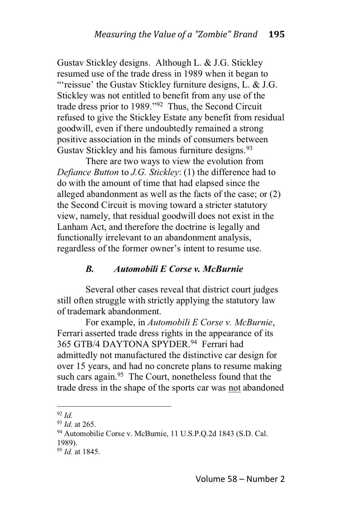Gustav Stickley designs. Although L. & J.G. Stickley resumed use of the trade dress in 1989 when it began to "'reissue' the Gustav Stickley furniture designs, L.  $&$  J.G. Stickley was not entitled to benefit from any use of the trade dress prior to  $1989.^{92}$  Thus, the Second Circuit refused to give the Stickley Estate any benefit from residual goodwill, even if there undoubtedly remained a strong positive association in the minds of consumers between Gustav Stickley and his famous furniture designs.<sup>93</sup>

There are two ways to view the evolution from *Defiance Button* to *J.G. Stickley*: (1) the difference had to do with the amount of time that had elapsed since the alleged abandonment as well as the facts of the case; or (2) the Second Circuit is moving toward a stricter statutory view, namely, that residual goodwill does not exist in the Lanham Act, and therefore the doctrine is legally and functionally irrelevant to an abandonment analysis, regardless of the former owner's intent to resume use.

#### *B. Automobili E Corse v. McBurnie*

Several other cases reveal that district court judges still often struggle with strictly applying the statutory law of trademark abandonment.

For example, in *Automobili E Corse v. McBurnie*, Ferrari asserted trade dress rights in the appearance of its 365 GTB/4 DAYTONA SPYDER.<sup>94</sup> Ferrari had admittedly not manufactured the distinctive car design for over 15 years, and had no concrete plans to resume making such cars again.<sup>95</sup> The Court, nonetheless found that the trade dress in the shape of the sports car was not abandoned

<sup>92</sup> *Id.*

<sup>93</sup> *Id.* at 265.

<sup>94</sup> Automobilie Corse v. McBurnie, 11 U.S.P.Q.2d 1843 (S.D. Cal. 1989).

<sup>95</sup> *Id.* at 1845.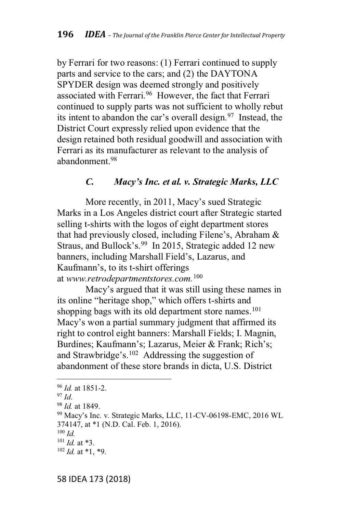by Ferrari for two reasons: (1) Ferrari continued to supply parts and service to the cars; and (2) the DAYTONA SPYDER design was deemed strongly and positively associated with Ferrari.<sup>96</sup> However, the fact that Ferrari continued to supply parts was not sufficient to wholly rebut its intent to abandon the car's overall design.  $97$  Instead, the District Court expressly relied upon evidence that the design retained both residual goodwill and association with Ferrari as its manufacturer as relevant to the analysis of abandonment.98

### *C. Macy's Inc. et al. v. Strategic Marks, LLC*

More recently, in 2011, Macy's sued Strategic Marks in a Los Angeles district court after Strategic started selling t-shirts with the logos of eight department stores that had previously closed, including Filene's, Abraham  $\&$ Straus, and Bullock's.<sup>99</sup> In 2015, Strategic added 12 new banners, including Marshall Field's, Lazarus, and Kaufmann's, to its t-shirt offerings at *www.retrodepartmentstores.com.*<sup>100</sup>

Macv's argued that it was still using these names in its online "heritage shop," which offers t-shirts and shopping bags with its old department store names.<sup>101</sup> Macv's won a partial summary judgment that affirmed its right to control eight banners: Marshall Fields; I. Magnin, Burdines; Kaufmann's; Lazarus, Meier & Frank; Rich's; and Strawbridge's.<sup>102</sup> Addressing the suggestion of abandonment of these store brands in dicta, U.S. District

<sup>96</sup> *Id.* at 1851-2.

<sup>97</sup> *Id*.

<sup>98</sup> *Id.* at 1849.

<sup>99</sup> Macy's Inc. v. Strategic Marks, LLC, 11-CV-06198-EMC, 2016 WL 374147, at \*1 (N.D. Cal. Feb. 1, 2016).

<sup>100</sup> *Id.*

<sup>101</sup> *Id.* at \*3.

 $102$  *Id.* at \*1, \*9.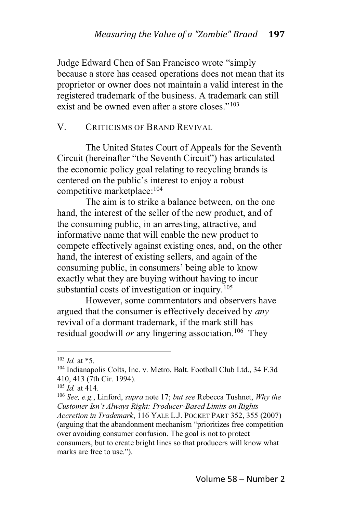Judge Edward Chen of San Francisco wrote "simply" because a store has ceased operations does not mean that its proprietor or owner does not maintain a valid interest in the registered trademark of the business. A trademark can still exist and be owned even after a store closes."<sup>103</sup>

#### V. CRITICISMS OF BRAND REVIVAL

The United States Court of Appeals for the Seventh Circuit (hereinafter "the Seventh Circuit") has articulated the economic policy goal relating to recycling brands is centered on the public's interest to enjoy a robust competitive marketplace:104

The aim is to strike a balance between, on the one hand, the interest of the seller of the new product, and of the consuming public, in an arresting, attractive, and informative name that will enable the new product to compete effectively against existing ones, and, on the other hand, the interest of existing sellers, and again of the consuming public, in consumers' being able to know exactly what they are buying without having to incur substantial costs of investigation or inquiry.<sup>105</sup>

However, some commentators and observers have argued that the consumer is effectively deceived by *any* revival of a dormant trademark, if the mark still has residual goodwill *or* any lingering association.<sup>106</sup> They

<sup>103</sup> *Id.* at \*5.

<sup>104</sup> Indianapolis Colts, Inc. v. Metro. Balt. Football Club Ltd., 34 F.3d 410, 413 (7th Cir. 1994).

<sup>105</sup> *Id.* at 414.

<sup>106</sup> *See, e.g.*, Linford, *supra* note 17; *but see* Rebecca Tushnet, *Why the 702-3)(# 82%1- !+?\$F2 9\*4.-J I#3&0'(#-Based Limits on Rights Accretion in Trademark*, 116 YALE L.J. POCKET PART 352, 355 (2007) (arguing that the abandonment mechanism "prioritizes free competition over avoiding consumer confusion. The goal is not to protect consumers, but to create bright lines so that producers will know what marks are free to use.").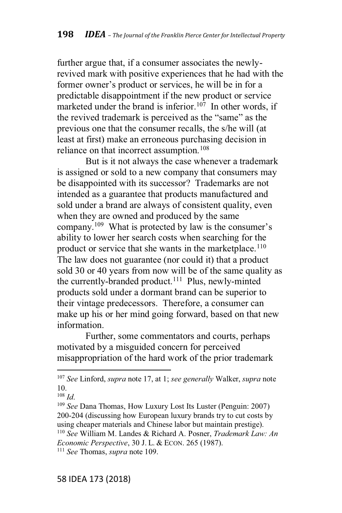further argue that, if a consumer associates the newlyrevived mark with positive experiences that he had with the former owner's product or services, he will be in for a predictable disappointment if the new product or service marketed under the brand is inferior.<sup>107</sup> In other words, if the revived trademark is perceived as the "same" as the previous one that the consumer recalls, the s/he will (at least at first) make an erroneous purchasing decision in reliance on that incorrect assumption.<sup>108</sup>

But is it not always the case whenever a trademark is assigned or sold to a new company that consumers may be disappointed with its successor? Trademarks are not intended as a guarantee that products manufactured and sold under a brand are always of consistent quality, even when they are owned and produced by the same company.<sup>109</sup> What is protected by law is the consumer's ability to lower her search costs when searching for the product or service that she wants in the marketplace.<sup>110</sup> The law does not guarantee (nor could it) that a product sold 30 or 40 years from now will be of the same quality as the currently-branded product.<sup>111</sup> Plus, newly-minted products sold under a dormant brand can be superior to their vintage predecessors. Therefore, a consumer can make up his or her mind going forward, based on that new information.

Further, some commentators and courts, perhaps motivated by a misguided concern for perceived misappropriation of the hard work of the prior trademark

<sup>107</sup> *See* Linford, *supra* note 17, at 1; *see generally* Walker, *supra* note 10.

<sup>108</sup> *Id*.

<sup>109</sup> *See* Dana Thomas, How Luxury Lost Its Luster (Penguin: 2007) 200-204 (discussing how European luxury brands try to cut costs by using cheaper materials and Chinese labor but maintain prestige). <sup>110</sup> *See* William M. Landes & Richard A. Posner, *Trademark Law: An Economic Perspective*, 30 J. L. & ECON. 265 (1987).

<sup>111</sup> *See* Thomas, *supra* note 109.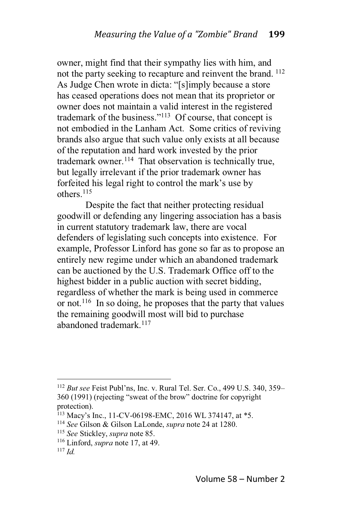owner, might find that their sympathy lies with him, and not the party seeking to recapture and reinvent the brand. <sup>112</sup> As Judge Chen wrote in dicta: "[s]imply because a store has ceased operations does not mean that its proprietor or owner does not maintain a valid interest in the registered trademark of the business."<sup>113</sup> Of course, that concept is not embodied in the Lanham Act. Some critics of reviving brands also argue that such value only exists at all because of the reputation and hard work invested by the prior trademark owner.<sup>114</sup> That observation is technically true, but legally irrelevant if the prior trademark owner has forfeited his legal right to control the mark's use by others.115

Despite the fact that neither protecting residual goodwill or defending any lingering association has a basis in current statutory trademark law, there are vocal defenders of legislating such concepts into existence. For example, Professor Linford has gone so far as to propose an entirely new regime under which an abandoned trademark can be auctioned by the U.S. Trademark Office off to the highest bidder in a public auction with secret bidding, regardless of whether the mark is being used in commerce or not.<sup>116</sup> In so doing, he proposes that the party that values the remaining goodwill most will bid to purchase abandoned trademark.<sup>117</sup>

<sup>&</sup>lt;sup>112</sup> *But see* Feist Publ'ns, Inc. v. Rural Tel. Ser. Co., 499 U.S. 340, 359– 360 (1991) (rejecting "sweat of the brow" doctrine for copyright protection).

<sup>113</sup> Macy's Inc., 11-CV-06198-EMC, 2016 WL 374147, at \*5.

<sup>114</sup> *See* Gilson & Gilson LaLonde, *supra* note 24 at 1280.

<sup>115</sup> *See* Stickley, *supra* note 85.

<sup>116</sup> Linford, *supra* note 17, at 49.

<sup>117</sup> *Id.*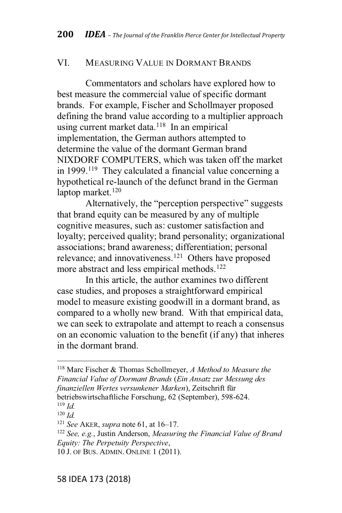#### VI. MEASURING VALUE IN DORMANT BRANDS

Commentators and scholars have explored how to best measure the commercial value of specific dormant brands. For example, Fischer and Schollmayer proposed defining the brand value according to a multiplier approach using current market data.<sup>118</sup> In an empirical implementation, the German authors attempted to determine the value of the dormant German brand NIXDORF COMPUTERS, which was taken off the market in 1999.<sup>119</sup> They calculated a financial value concerning a hypothetical re-launch of the defunct brand in the German laptop market. $120$ 

Alternatively, the "perception perspective" suggests that brand equity can be measured by any of multiple cognitive measures, such as: customer satisfaction and loyalty; perceived quality; brand personality; organizational associations; brand awareness; differentiation; personal relevance; and innovativeness.<sup>121</sup> Others have proposed more abstract and less empirical methods.<sup>122</sup>

In this article, the author examines two different case studies, and proposes a straightforward empirical model to measure existing goodwill in a dormant brand, as compared to a wholly new brand. With that empirical data, we can seek to extrapolate and attempt to reach a consensus on an economic valuation to the benefit (if any) that inheres in the dormant brand.

<sup>118</sup> Marc Fischer & Thomas Schollmeyer, *A Method to Measure the Financial Value of Dormant Brands* (*Ein Ansatz zur Messung des finanziellen Wertes versunkener Marken*), Zeitschrift für betriebswirtschaftliche Forschung, 62 (September), 598-624.

<sup>119</sup> *Id.* <sup>120</sup> *Id.*

<sup>&</sup>lt;sup>121</sup> *See* AKER, *supra* note 61, at  $16-17$ .

<sup>122</sup> *See, e.g.*, Justin Anderson, *Measuring the Financial Value of Brand Equity: The Perpetuity Perspective*,

<sup>10</sup> J. OF BUS. ADMIN. ONLINE 1 (2011).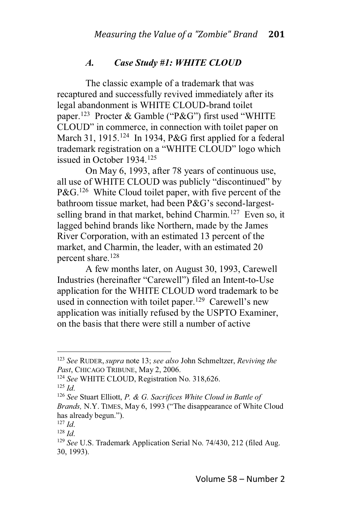#### *A. Case Study #1: WHITE CLOUD*

The classic example of a trademark that was recaptured and successfully revived immediately after its legal abandonment is WHITE CLOUD-brand toilet paper.<sup>123</sup> Procter & Gamble ("P&G") first used "WHITE CLOUD" in commerce, in connection with toilet paper on March 31, 1915.<sup>124</sup> In 1934, P&G first applied for a federal trademark registration on a "WHITE CLOUD" logo which issued in October 1934.125

On May 6, 1993, after 78 years of continuous use, all use of WHITE CLOUD was publicly "discontinued" by  $P\&G<sup>126</sup>$  White Cloud toilet paper, with five percent of the bathroom tissue market, had been P&G's second-largestselling brand in that market, behind Charmin.<sup>127</sup> Even so, it lagged behind brands like Northern, made by the James River Corporation, with an estimated 13 percent of the market, and Charmin, the leader, with an estimated 20 percent share.<sup>128</sup>

A few months later, on August 30, 1993, Carewell Industries (hereinafter "Carewell") filed an Intent-to-Use application for the WHITE CLOUD word trademark to be used in connection with toilet paper.<sup>129</sup> Carewell's new application was initially refused by the USPTO Examiner, on the basis that there were still a number of active

<sup>123</sup> *See* RUDER, *supra* note 13; *see also* John Schmeltzer, *Reviving the Past*, CHICAGO TRIBUNE, May 2, 2006.

<sup>124</sup> *See* WHITE CLOUD, Registration No. 318,626.

<sup>125</sup> *Id*.

<sup>126</sup> *See* Stuart Elliott, *P. & G. Sacrifices White Cloud in Battle of Brands, N.Y. TIMES, May 6, 1993* ("The disappearance of White Cloud has already begun.").

 $127$  *Id*.

<sup>128</sup> *Id*.

<sup>129</sup> *See* U.S. Trademark Application Serial No. 74/430, 212 (filed Aug. 30, 1993).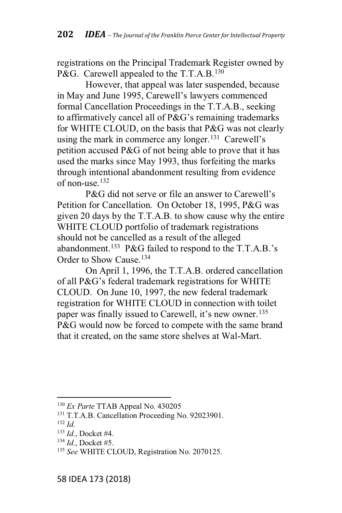registrations on the Principal Trademark Register owned by P&G. Carewell appealed to the T.T.A.B.<sup>130</sup>

However, that appeal was later suspended, because in May and June 1995, Carewell's lawyers commenced formal Cancellation Proceedings in the T.T.A.B., seeking to affirmatively cancel all of  $P\&G$ 's remaining trademarks for WHITE CLOUD, on the basis that P&G was not clearly using the mark in commerce any longer.<sup>131</sup> Carewell's petition accused P&G of not being able to prove that it has used the marks since May 1993, thus forfeiting the marks through intentional abandonment resulting from evidence of non-use  $^{132}$ 

 $P\&G$  did not serve or file an answer to Carewell's Petition for Cancellation. On October 18, 1995, P&G was given 20 days by the T.T.A.B. to show cause why the entire WHITE CLOUD portfolio of trademark registrations should not be cancelled as a result of the alleged abandonment.<sup>133</sup> P&G failed to respond to the T.T.A.B.'s Order to Show Cause.<sup>134</sup>

On April 1, 1996, the T.T.A.B. ordered cancellation of all  $P\&G$ 's federal trademark registrations for WHITE CLOUD. On June 10, 1997, the new federal trademark registration for WHITE CLOUD in connection with toilet paper was finally issued to Carewell, it's new owner.<sup>135</sup> P&G would now be forced to compete with the same brand that it created, on the same store shelves at Wal-Mart.

<sup>130</sup> *Ex Parte* TTAB Appeal No. 430205

<sup>&</sup>lt;sup>131</sup> T.T.A.B. Cancellation Proceeding No. 92023901.

 $132 \, Id.$ 

<sup>133</sup> *Id*., Docket #4.

<sup>134</sup> *Id*., Docket #5.

<sup>135</sup> *See* WHITE CLOUD, Registration No. 2070125.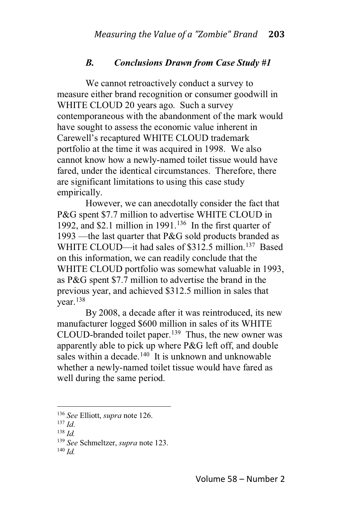#### *B. Conclusions Drawn from Case Study #1*

We cannot retroactively conduct a survey to measure either brand recognition or consumer goodwill in WHITE CLOUD 20 years ago. Such a survey contemporaneous with the abandonment of the mark would have sought to assess the economic value inherent in Carewell's recaptured WHITE CLOUD trademark portfolio at the time it was acquired in 1998. We also cannot know how a newly-named toilet tissue would have fared, under the identical circumstances. Therefore, there are significant limitations to using this case study empirically.

However, we can anecdotally consider the fact that P&G spent \$7.7 million to advertise WHITE CLOUD in 1992, and \$2.1 million in 1991.<sup>136</sup> In the first quarter of 1993 — the last quarter that P&G sold products branded as WHITE CLOUD—it had sales of \$312.5 million.<sup>137</sup> Based on this information, we can readily conclude that the WHITE CLOUD portfolio was somewhat valuable in 1993, as P&G spent \$7.7 million to advertise the brand in the previous year, and achieved \$312.5 million in sales that year.138

By 2008, a decade after it was reintroduced, its new manufacturer logged \$600 million in sales of its WHITE CLOUD-branded toilet paper.139 Thus, the new owner was apparently able to pick up where P&G left off, and double sales within a decade.<sup>140</sup> It is unknown and unknowable whether a newly-named toilet tissue would have fared as well during the same period.

<sup>136</sup> *See* Elliott, *supra* note 126.

<sup>137</sup> *Id*.

<sup>138</sup> *Id.*

<sup>139</sup> *See* Schmeltzer, *supra* note 123.

<sup>140</sup> *Id.*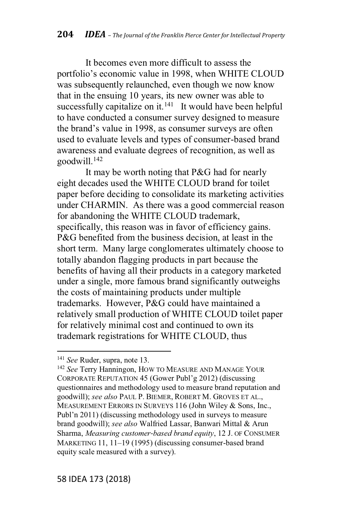It becomes even more difficult to assess the portfolio's economic value in 1998, when WHITE CLOUD was subsequently relaunched, even though we now know that in the ensuing 10 years, its new owner was able to successfully capitalize on it. $141$  It would have been helpful to have conducted a consumer survey designed to measure the brand's value in 1998, as consumer surveys are often used to evaluate levels and types of consumer-based brand awareness and evaluate degrees of recognition, as well as goodwill.142

It may be worth noting that P&G had for nearly eight decades used the WHITE CLOUD brand for toilet paper before deciding to consolidate its marketing activities under CHARMIN. As there was a good commercial reason for abandoning the WHITE CLOUD trademark, specifically, this reason was in favor of efficiency gains. P&G benefited from the business decision, at least in the short term. Many large conglomerates ultimately choose to totally abandon flagging products in part because the benefits of having all their products in a category marketed under a single, more famous brand significantly outweighs the costs of maintaining products under multiple trademarks. However, P&G could have maintained a relatively small production of WHITE CLOUD toilet paper for relatively minimal cost and continued to own its trademark registrations for WHITE CLOUD, thus

<sup>141</sup> *See* Ruder, supra, note 13.

<sup>&</sup>lt;sup>142</sup> See Terry Hanningon, HOW TO MEASURE AND MANAGE YOUR CORPORATE REPUTATION 45 (Gower Publ'g 2012) (discussing questionnaires and methodology used to measure brand reputation and goodwill); *see also* PAUL P. BIEMER, ROBERT M. GROVES ET AL., MEASUREMENT ERRORS IN SURVEYS 116 (John Wiley & Sons, Inc., Publ'n 2011) (discussing methodology used in surveys to measure brand goodwill); *see also* Walfried Lassar, Banwari Mittal & Arun Sharma, *Measuring customer!based brand equity*, 12 J. OF CONSUMER MARKETING 11,  $11-19$  (1995) (discussing consumer-based brand equity scale measured with a survey).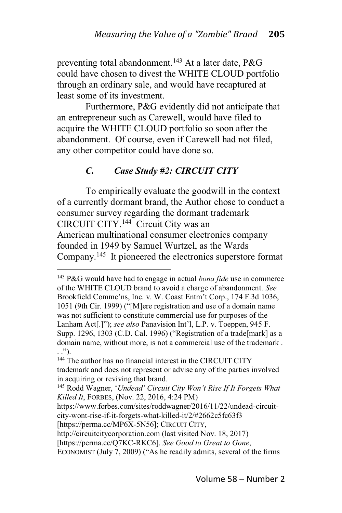preventing total abandonment.<sup>143</sup> At a later date, P&G could have chosen to divest the WHITE CLOUD portfolio through an ordinary sale, and would have recaptured at least some of its investment.

Furthermore, P&G evidently did not anticipate that an entrepreneur such as Carewell, would have filed to acquire the WHITE CLOUD portfolio so soon after the abandonment. Of course, even if Carewell had not filed, any other competitor could have done so.

## *C. Case Study #2: CIRCUIT CITY*

To empirically evaluate the goodwill in the context of a currently dormant brand, the Author chose to conduct a consumer survey regarding the dormant trademark CIRCUIT CITY.144 Circuit City was an American multinational consumer electronics company founded in 1949 by Samuel Wurtzel, as the Wards Company.145 It pioneered the electronics superstore format

<sup>143</sup> P&G would have had to engage in actual *bona fide* use in commerce of the WHITE CLOUD brand to avoid a charge of abandonment. *See* Brookfield Commc'ns, Inc. v. W. Coast Entm't Corp., 174 F.3d 1036, 1051 (9th Cir. 1999) ("[M]ere registration and use of a domain name was not sufficient to constitute commercial use for purposes of the Lanham Act[.]"); see also Panavision Int'l, L.P. v. Toeppen, 945 F. Supp. 1296, 1303 (C.D. Cal. 1996) ("Registration of a trade[mark] as a domain name, without more, is not a commercial use of the trademark .  $.$  ").

<sup>&</sup>lt;sup>144</sup> The author has no financial interest in the CIRCUIT CITY trademark and does not represent or advise any of the parties involved in acquiring or reviving that brand.

<sup>&</sup>lt;sup>145</sup> Rodd Wagner, 'Undead' Circuit City Won't Rise If It Forgets What *Killed It*, FORBES, (Nov. 22, 2016, 4:24 PM)

https://www.forbes.com/sites/roddwagner/2016/11/22/undead-circuitcity-wont-rise-if-it-forgets-what-killed-it/2/#2662c5fc63f3

<sup>[</sup>https://perma.cc/MP6X-5N56]; CIRCUIT CITY,

http://circuitcitycorporation.com (last visited Nov. 18, 2017)

<sup>[</sup>https://perma.cc/Q7KC-RKC6]. *See Good to Great to Gone*,

ECONOMIST (July 7, 2009) ("As he readily admits, several of the firms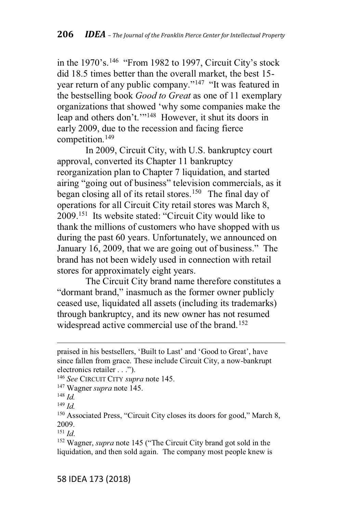in the  $1970$ 's.<sup>146</sup> "From 1982 to 1997, Circuit City's stock did 18.5 times better than the overall market, the best 15 year return of any public company."<sup>147</sup> "It was featured in the bestselling book *Good to Great* as one of 11 exemplary organizations that showed 'why some companies make the leap and others don't."<sup>148</sup> However, it shut its doors in early 2009, due to the recession and facing fierce competition.149

In 2009, Circuit City, with U.S. bankruptcy court approval, converted its Chapter 11 bankruptcy reorganization plan to Chapter 7 liquidation, and started airing "going out of business" television commercials, as it began closing all of its retail stores.<sup>150</sup> The final day of operations for all Circuit City retail stores was March 8,  $2009$ <sup>151</sup> Its website stated: "Circuit City would like to thank the millions of customers who have shopped with us during the past 60 years. Unfortunately, we announced on January 16, 2009, that we are going out of business." The brand has not been widely used in connection with retail stores for approximately eight years.

The Circuit City brand name therefore constitutes a "dormant brand," inasmuch as the former owner publicly ceased use, liquidated all assets (including its trademarks) through bankruptcy, and its new owner has not resumed widespread active commercial use of the brand.<sup>152</sup>

praised in his bestsellers, 'Built to Last' and 'Good to Great', have since fallen from grace. These include Circuit City, a now-bankrupt electronics retailer . . .").

<sup>146</sup> *See* CIRCUIT CITY *supra* note 145.

<sup>147</sup> Wagner *supra* note 145.

<sup>148</sup> *Id.*

<sup>149</sup> *Id.*

 $150$  Associated Press, "Circuit City closes its doors for good," March 8, 2009.

<sup>151</sup> *Id*.

<sup>&</sup>lt;sup>152</sup> Wagner, *supra* note 145 ("The Circuit City brand got sold in the liquidation, and then sold again. The company most people knew is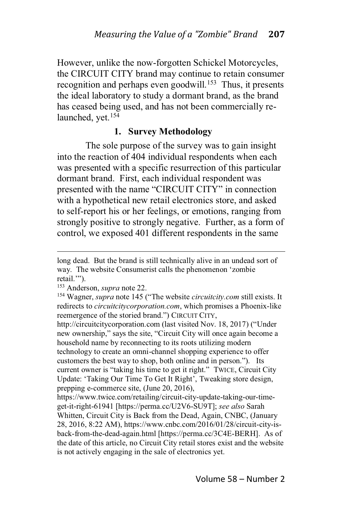However, unlike the now-forgotten Schickel Motorcycles, the CIRCUIT CITY brand may continue to retain consumer recognition and perhaps even goodwill.<sup>153</sup> Thus, it presents the ideal laboratory to study a dormant brand, as the brand has ceased being used, and has not been commercially relaunched, yet.<sup>154</sup>

### **1. Survey Methodology**

The sole purpose of the survey was to gain insight into the reaction of 404 individual respondents when each was presented with a specific resurrection of this particular dormant brand. First, each individual respondent was presented with the name "CIRCUIT CITY" in connection with a hypothetical new retail electronics store, and asked to self-report his or her feelings, or emotions, ranging from strongly positive to strongly negative. Further, as a form of control, we exposed 401 different respondents in the same

http://circuitcitycorporation.com (last visited Nov. 18, 2017) ("Under new ownership," says the site, "Circuit City will once again become a household name by reconnecting to its roots utilizing modern technology to create an omni-channel shopping experience to offer customers the best way to shop, both online and in person."). Its current owner is "taking his time to get it right." TWICE, Circuit City Update: 'Taking Our Time To Get It Right', Tweaking store design, prepping e-commerce site, (June 20, 2016),

long dead. But the brand is still technically alive in an undead sort of way. The website Consumerist calls the phenomenon 'zombie retail."").

<sup>153</sup> Anderson, *supra* note 22.

<sup>&</sup>lt;sup>154</sup> Wagner, *supra* note 145 ("The website *circuitcity.com* still exists. It redirects to *circuitcitycorporation.com*, which promises a Phoenix-like reemergence of the storied brand.") CIRCUIT CITY,

https://www.twice.com/retailing/circuit-city-update-taking-our-timeget-it-right-61941 [https://perma.cc/U2V6-SU9T]; *see also* Sarah Whitten, Circuit City is Back from the Dead, Again, CNBC, (January 28, 2016, 8:22 AM), https://www.cnbc.com/2016/01/28/circuit-city-isback-from-the-dead-again.html [https://perma.cc/3C4E-BERH]. As of the date of this article, no Circuit City retail stores exist and the website is not actively engaging in the sale of electronics yet.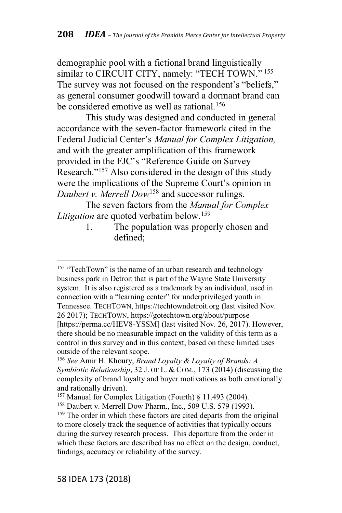demographic pool with a fictional brand linguistically similar to CIRCUIT CITY, namely: "TECH TOWN."<sup>155</sup> The survey was not focused on the respondent's "beliefs," as general consumer goodwill toward a dormant brand can be considered emotive as well as rational.<sup>156</sup>

This study was designed and conducted in general accordance with the seven-factor framework cited in the Federal Judicial Center's Manual for Complex Litigation, and with the greater amplification of this framework provided in the FJC's "Reference Guide on Survey. Research."<sup>157</sup> Also considered in the design of this study were the implications of the Supreme Court's opinion in *Daubert v. Merrell Dow*<sup>158</sup> and successor rulings.

The seven factors from the *Manual for Complex Litigation* are quoted verbatim below.<sup>159</sup>

> 1. The population was properly chosen and defined;

 $155$  "TechTown" is the name of an urban research and technology business park in Detroit that is part of the Wayne State University system. It is also registered as a trademark by an individual, used in connection with a "learning center" for underprivileged youth in Tennessee. TECHTOWN, https://techtowndetroit.org (last visited Nov. 26 2017); TECHTOWN, https://gotechtown.org/about/purpose [https://perma.cc/HEV8-YSSM] (last visited Nov. 26, 2017). However, there should be no measurable impact on the validity of this term as a control in this survey and in this context, based on these limited uses outside of the relevant scope.

<sup>156</sup> *See* Amir H. Khoury, *Brand Loyalty & Loyalty of Brands: A Symbiotic Relationship*, 32 J. OF L. & COM., 173 (2014) (discussing the complexity of brand loyalty and buyer motivations as both emotionally and rationally driven).

<sup>157</sup> Manual for Complex Litigation (Fourth) § 11.493 (2004).

<sup>158</sup> Daubert v. Merrell Dow Pharm., Inc., 509 U.S. 579 (1993).

<sup>&</sup>lt;sup>159</sup> The order in which these factors are cited departs from the original to more closely track the sequence of activities that typically occurs during the survey research process. This departure from the order in which these factors are described has no effect on the design, conduct, findings, accuracy or reliability of the survey.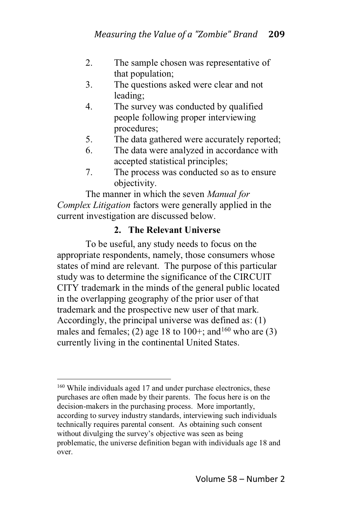- 2. The sample chosen was representative of that population;
- 3. The questions asked were clear and not leading;
- 4. The survey was conducted by qualified people following proper interviewing procedures;
- 5. The data gathered were accurately reported;
- 6. The data were analyzed in accordance with accepted statistical principles;
- 7. The process was conducted so as to ensure objectivity.

The manner in which the seven *Manual for Complex Litigation* factors were generally applied in the current investigation are discussed below.

## **2. The Relevant Universe**

To be useful, any study needs to focus on the appropriate respondents, namely, those consumers whose states of mind are relevant. The purpose of this particular study was to determine the significance of the CIRCUIT CITY trademark in the minds of the general public located in the overlapping geography of the prior user of that trademark and the prospective new user of that mark. Accordingly, the principal universe was defined as: (1) males and females; (2) age 18 to 100+; and  $160$  who are (3) currently living in the continental United States.

<sup>160</sup> While individuals aged 17 and under purchase electronics, these purchases are often made by their parents. The focus here is on the decision-makers in the purchasing process. More importantly, according to survey industry standards, interviewing such individuals technically requires parental consent. As obtaining such consent without divulging the survey's objective was seen as being problematic, the universe definition began with individuals age 18 and over.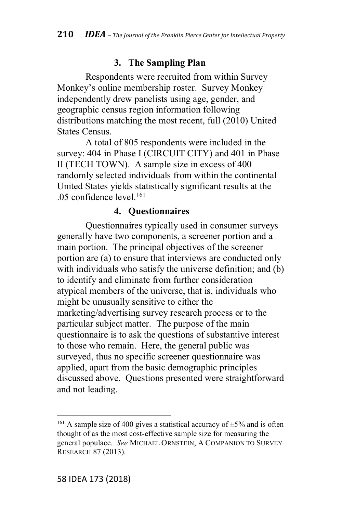## **3. The Sampling Plan**

Respondents were recruited from within Survey Monkey's online membership roster. Survey Monkey independently drew panelists using age, gender, and geographic census region information following distributions matching the most recent, full (2010) United States Census.

A total of 805 respondents were included in the survey: 404 in Phase I (CIRCUIT CITY) and 401 in Phase II (TECH TOWN). A sample size in excess of 400 randomly selected individuals from within the continental United States yields statistically significant results at the .05 confidence level.161

## **4. Questionnaires**

Questionnaires typically used in consumer surveys generally have two components, a screener portion and a main portion. The principal objectives of the screener portion are (a) to ensure that interviews are conducted only with individuals who satisfy the universe definition; and (b) to identify and eliminate from further consideration atypical members of the universe, that is, individuals who might be unusually sensitive to either the marketing/advertising survey research process or to the particular subject matter. The purpose of the main questionnaire is to ask the questions of substantive interest to those who remain. Here, the general public was surveyed, thus no specific screener questionnaire was applied, apart from the basic demographic principles discussed above. Questions presented were straightforward and not leading.

<sup>&</sup>lt;sup>161</sup> A sample size of 400 gives a statistical accuracy of  $\pm$ 5% and is often thought of as the most cost-effective sample size for measuring the general populace. *See* MICHAEL ORNSTEIN, A COMPANION TO SURVEY RESEARCH 87 (2013).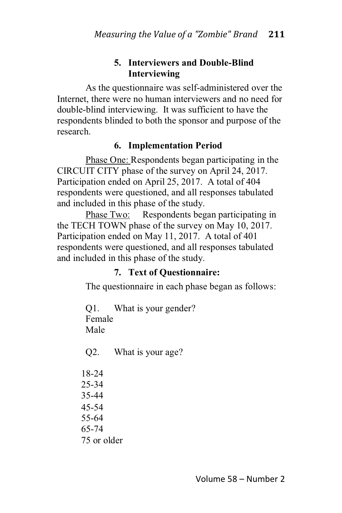## **5. Interviewers and Double-Blind Interviewing**

As the questionnaire was self-administered over the Internet, there were no human interviewers and no need for double-blind interviewing. It was sufficient to have the respondents blinded to both the sponsor and purpose of the research.

## **6. Implementation Period**

Phase One: Respondents began participating in the CIRCUIT CITY phase of the survey on April 24, 2017. Participation ended on April 25, 2017. A total of 404 respondents were questioned, and all responses tabulated and included in this phase of the study.

Phase Two: Respondents began participating in the TECH TOWN phase of the survey on May 10, 2017. Participation ended on May 11, 2017. A total of 401 respondents were questioned, and all responses tabulated and included in this phase of the study.

## **7. Text of Questionnaire:**

The questionnaire in each phase began as follows:

Q1. What is your gender? Female Male

Q2. What is your age?

18-24 25-34 35-44 45-54 55-64 65-74 75 or older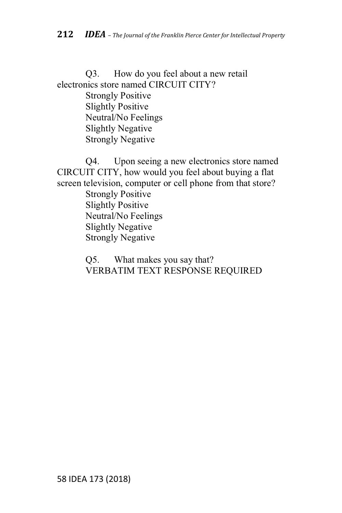Q3. How do you feel about a new retail electronics store named CIRCUIT CITY? Strongly Positive Slightly Positive Neutral/No Feelings Slightly Negative Strongly Negative

Q4. Upon seeing a new electronics store named CIRCUIT CITY, how would you feel about buying a flat screen television, computer or cell phone from that store? Strongly Positive Slightly Positive Neutral/No Feelings Slightly Negative Strongly Negative

> Q5. What makes you say that? VERBATIM TEXT RESPONSE REQUIRED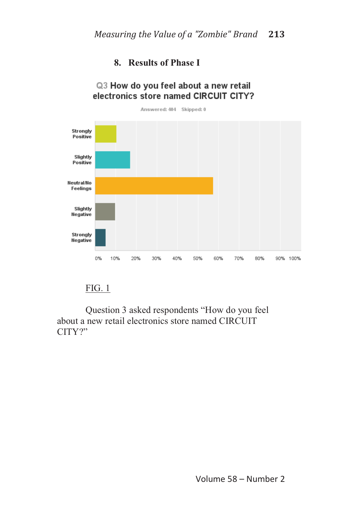## **8. Results of Phase I**

Q3 How do you feel about a new retail

#### electronics store named CIRCUIT CITY? Answered: 404 Skipped: 0 Strongly Positive Slightly Positive Neutral/No Feelings Slightly **Negative** Strongly Negative 0% 10% 20% 30% 40% 50% 60% 70% 80% 90% 100%

#### FIG. 1

Question 3 asked respondents "How do you feel about a new retail electronics store named CIRCUIT  $CITY$ ?"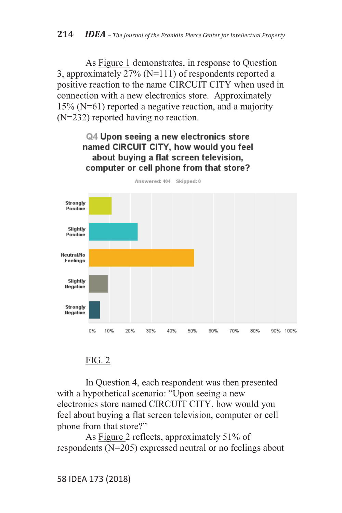As Figure 1 demonstrates, in response to Question 3, approximately 27% (N=111) of respondents reported a positive reaction to the name CIRCUIT CITY when used in connection with a new electronics store. Approximately 15% (N=61) reported a negative reaction, and a majority (N=232) reported having no reaction.

#### Q4 Upon seeing a new electronics store named CIRCUIT CITY, how would you feel about buying a flat screen television, computer or cell phone from that store?



Answered: 404 Skipped: 0

#### FIG. 2

In Question 4, each respondent was then presented with a hypothetical scenario: "Upon seeing a new electronics store named CIRCUIT CITY, how would you feel about buying a flat screen television, computer or cell phone from that store?"

As Figure 2 reflects, approximately 51% of respondents (N=205) expressed neutral or no feelings about

58 IDEA 173 (2018)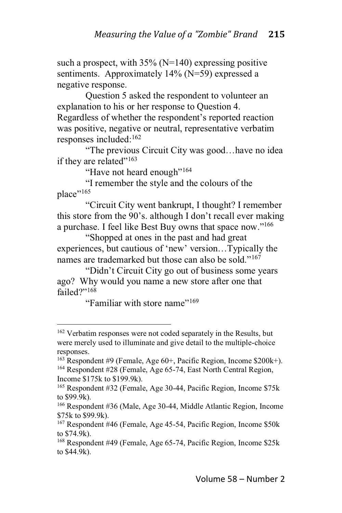such a prospect, with  $35\%$  (N=140) expressing positive sentiments. Approximately 14% (N=59) expressed a negative response.

Question 5 asked the respondent to volunteer an explanation to his or her response to Question 4. Regardless of whether the respondent's reported reaction was positive, negative or neutral, representative verbatim responses included:162

"The previous Circuit City was good...have no idea if they are related"<sup>163</sup>

"Have not heard enough"<sup>164</sup>

"I remember the style and the colours of the place"<sup>165</sup>

@Circuit City went bankrupt, I thought? I remember this store from the 90's. although I don't recall ever making a purchase. I feel like Best Buy owns that space now."<sup>166</sup>

"Shopped at ones in the past and had great experiences, but cautious of 'new' version...Typically the names are trademarked but those can also be sold."<sup> $167$ </sup>

"Didn't Circuit City go out of business some years ago? Why would you name a new store after one that failed?"<sup>168</sup>

"Familiar with store name"<sup> $169$ </sup>

<sup>&</sup>lt;sup>162</sup> Verbatim responses were not coded separately in the Results, but were merely used to illuminate and give detail to the multiple-choice responses.

<sup>163</sup> Respondent #9 (Female, Age 60+, Pacific Region, Income \$200k+). <sup>164</sup> Respondent #28 (Female, Age 65-74, East North Central Region, Income \$175k to \$199.9k).

<sup>165</sup> Respondent #32 (Female, Age 30-44, Pacific Region, Income \$75k to \$99.9k).

<sup>166</sup> Respondent #36 (Male, Age 30-44, Middle Atlantic Region, Income \$75k to \$99.9k).

<sup>167</sup> Respondent #46 (Female, Age 45-54, Pacific Region, Income \$50k to \$74.9k).

<sup>168</sup> Respondent #49 (Female, Age 65-74, Pacific Region, Income \$25k to \$44.9k).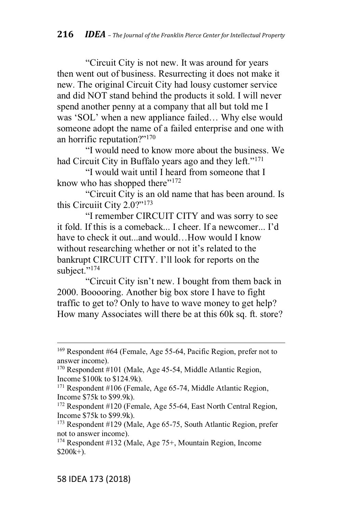@Circuit City is not new. It was around for years then went out of business. Resurrecting it does not make it new. The original Circuit City had lousy customer service and did NOT stand behind the products it sold. I will never spend another penny at a company that all but told me I was 'SOL' when a new appliance failed... Why else would someone adopt the name of a failed enterprise and one with an horrific reputation?" $170$ 

@I would need to know more about the business. We had Circuit City in Buffalo years ago and they left." $171$ 

"I would wait until I heard from someone that I know who has shopped there" $172$ 

"Circuit City is an old name that has been around. Is this Circuit City  $2.0$ ?" $173$ 

"I remember CIRCUIT CITY and was sorry to see it fold. If this is a comeback... I cheer. If a newcomer... I'd have to check it out and would  $\overline{H}$  How would I know without researching whether or not it's related to the bankrupt CIRCUIT CITY. I'll look for reports on the subject."<sup>174</sup>

"Circuit City isn't new. I bought from them back in 2000. Booooring. Another big box store I have to fight traffic to get to? Only to have to wave money to get help? How many Associates will there be at this 60k sq. ft. store?

<sup>169</sup> Respondent #64 (Female, Age 55-64, Pacific Region, prefer not to answer income).

<sup>170</sup> Respondent #101 (Male, Age 45-54, Middle Atlantic Region, Income \$100k to \$124.9k).

<sup>171</sup> Respondent #106 (Female, Age 65-74, Middle Atlantic Region, Income \$75k to \$99.9k).

<sup>172</sup> Respondent #120 (Female, Age 55-64, East North Central Region, Income \$75k to \$99.9k).

<sup>173</sup> Respondent #129 (Male, Age 65-75, South Atlantic Region, prefer not to answer income).

<sup>174</sup> Respondent #132 (Male, Age 75+, Mountain Region, Income  $$200k+$ ).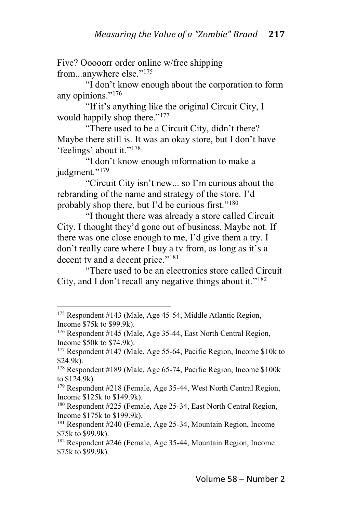Five? Ooooorr order online w/free shipping from...anywhere else."<sup>175</sup>

"I don't know enough about the corporation to form any opinions."<sup>176</sup>

"If it's anything like the original Circuit City, I would happily shop there." $177$ 

"There used to be a Circuit City, didn't there? Maybe there still is. It was an okay store, but I don't have 'feelings' about it."<sup>178</sup>

"I don't know enough information to make a judgment."<sup>179</sup>

"Circuit City isn't new... so I'm curious about the rebranding of the name and strategy of the store. I'd probably shop there, but I'd be curious first." $180$ 

"I thought there was already a store called Circuit City. I thought they'd gone out of business. Maybe not. If there was one close enough to me, I'd give them a try. I don't really care where I buy a ty from, as long as it's a decent ty and a decent price." $181$ 

"There used to be an electronics store called Circuit City, and I don't recall any negative things about it." $182$ 

<sup>175</sup> Respondent #143 (Male, Age 45-54, Middle Atlantic Region, Income \$75k to \$99.9k).

<sup>176</sup> Respondent #145 (Male, Age 35-44, East North Central Region, Income \$50k to \$74.9k).

<sup>177</sup> Respondent #147 (Male, Age 55-64, Pacific Region, Income \$10k to \$24.9k).

<sup>178</sup> Respondent #189 (Male, Age 65-74, Pacific Region, Income \$100k to \$124.9k).

<sup>179</sup> Respondent #218 (Female, Age 35-44, West North Central Region, Income \$125k to \$149.9k).

<sup>180</sup> Respondent #225 (Female, Age 25-34, East North Central Region, Income \$175k to \$199.9k).

<sup>181</sup> Respondent #240 (Female, Age 25-34, Mountain Region, Income \$75k to \$99.9k).

<sup>182</sup> Respondent #246 (Female, Age 35-44, Mountain Region, Income \$75k to \$99.9k).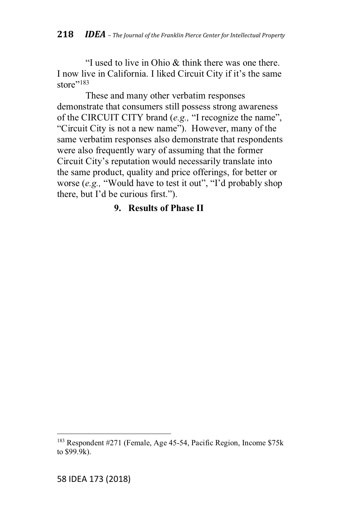"I used to live in Ohio  $&$  think there was one there. I now live in California. I liked Circuit City if it's the same store"<sup>183</sup>

These and many other verbatim responses demonstrate that consumers still possess strong awareness of the CIRCUIT CITY brand (e.g., "I recognize the name", "Circuit City is not a new name"). However, many of the same verbatim responses also demonstrate that respondents were also frequently wary of assuming that the former Circuit City's reputation would necessarily translate into the same product, quality and price offerings, for better or worse (e.g., "Would have to test it out", "I'd probably shop there, but I'd be curious first.").

## **9. Results of Phase II**

<sup>183</sup> Respondent #271 (Female, Age 45-54, Pacific Region, Income \$75k to \$99.9k).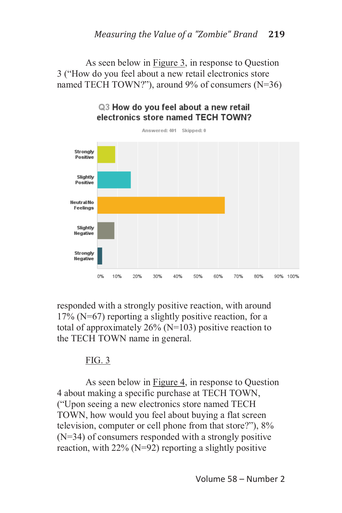As seen below in Figure 3, in response to Question 3 ("How do you feel about a new retail electronics store named TECH TOWN?"), around  $9\%$  of consumers (N=36)



#### Q3 How do you feel about a new retail electronics store named TECH TOWN?

responded with a strongly positive reaction, with around 17% (N=67) reporting a slightly positive reaction, for a total of approximately  $26\%$  (N=103) positive reaction to the TECH TOWN name in general.

## FIG. 3

As seen below in Figure 4, in response to Question 4 about making a specific purchase at TECH TOWN, ("Upon seeing a new electronics store named TECH TOWN, how would you feel about buying a flat screen television, computer or cell phone from that store?"),  $8\%$ (N=34) of consumers responded with a strongly positive reaction, with  $22\%$  (N=92) reporting a slightly positive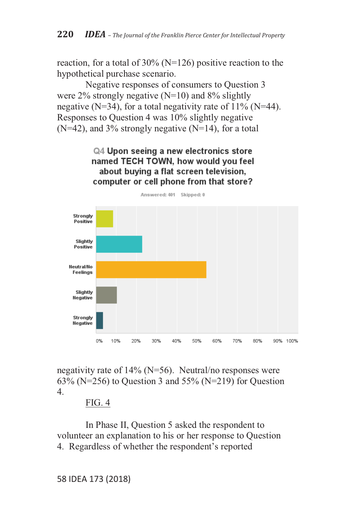reaction, for a total of 30% (N=126) positive reaction to the hypothetical purchase scenario.

Negative responses of consumers to Question 3 were  $2\%$  strongly negative (N=10) and  $8\%$  slightly negative (N=34), for a total negativity rate of  $11\%$  (N=44). Responses to Question 4 was 10% slightly negative  $(N=42)$ , and 3% strongly negative  $(N=14)$ , for a total

> Q4 Upon seeing a new electronics store named TECH TOWN, how would you feel about buying a flat screen television. computer or cell phone from that store?



negativity rate of  $14\%$  (N=56). Neutral/no responses were  $63\%$  (N=256) to Question 3 and 55% (N=219) for Question 4.

#### FIG. 4

In Phase II, Question 5 asked the respondent to volunteer an explanation to his or her response to Question 4. Regardless of whether the respondent's reported

58 IDEA 173 (2018)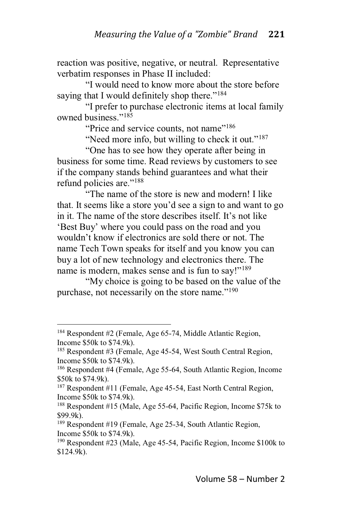reaction was positive, negative, or neutral. Representative verbatim responses in Phase II included:

"I would need to know more about the store before saying that I would definitely shop there."<sup>184</sup>

"I prefer to purchase electronic items at local family owned business."<sup>185</sup>

"Price and service counts, not name"<sup>186</sup>

"Need more info, but willing to check it out." $187$ 

"One has to see how they operate after being in business for some time. Read reviews by customers to see if the company stands behind guarantees and what their refund policies are." $188$ 

"The name of the store is new and modern! I like that. It seems like a store you'd see a sign to and want to go in it. The name of the store describes itself. It's not like 'Best Buy' where you could pass on the road and you wouldn't know if electronics are sold there or not. The name Tech Town speaks for itself and you know you can buy a lot of new technology and electronics there. The name is modern, makes sense and is fun to say!" $189$ 

"My choice is going to be based on the value of the purchase, not necessarily on the store name."<sup>190</sup>

<sup>184</sup> Respondent #2 (Female, Age 65-74, Middle Atlantic Region, Income \$50k to \$74.9k).

<sup>185</sup> Respondent #3 (Female, Age 45-54, West South Central Region, Income \$50k to \$74.9k).

<sup>186</sup> Respondent #4 (Female, Age 55-64, South Atlantic Region, Income \$50k to \$74.9k).

<sup>187</sup> Respondent #11 (Female, Age 45-54, East North Central Region, Income \$50k to \$74.9k).

<sup>188</sup> Respondent #15 (Male, Age 55-64, Pacific Region, Income \$75k to \$99.9k).

<sup>189</sup> Respondent #19 (Female, Age 25-34, South Atlantic Region, Income \$50k to \$74.9k).

<sup>190</sup> Respondent #23 (Male, Age 45-54, Pacific Region, Income \$100k to \$124.9k).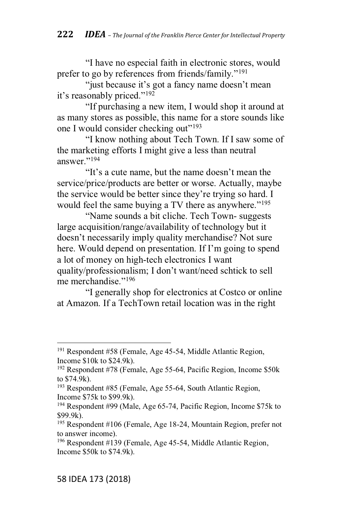"I have no especial faith in electronic stores, would prefer to go by references from friends/family."<sup>191</sup>

"just because it's got a fancy name doesn't mean it's reasonably priced." $192$ 

"If purchasing a new item, I would shop it around at as many stores as possible, this name for a store sounds like one I would consider checking out"<sup>193</sup>

"I know nothing about Tech Town. If I saw some of the marketing efforts I might give a less than neutral answer." $^{194}$ 

"It's a cute name, but the name doesn't mean the service/price/products are better or worse. Actually, maybe the service would be better since they're trying so hard. I would feel the same buying a TV there as anywhere." $195$ 

"Name sounds a bit cliche. Tech Town- suggests" large acquisition/range/availability of technology but it doesn't necessarily imply quality merchandise? Not sure here. Would depend on presentation. If I'm going to spend a lot of money on high-tech electronics I want quality/professionalism; I don't want/need schtick to sell me merchandise."<sup>196</sup>

"I generally shop for electronics at Costco or online" at Amazon. If a TechTown retail location was in the right

<sup>191</sup> Respondent #58 (Female, Age 45-54, Middle Atlantic Region, Income \$10k to \$24.9k).

<sup>192</sup> Respondent #78 (Female, Age 55-64, Pacific Region, Income \$50k to \$74.9k).

<sup>193</sup> Respondent #85 (Female, Age 55-64, South Atlantic Region, Income \$75k to \$99.9k).

<sup>194</sup> Respondent #99 (Male, Age 65-74, Pacific Region, Income \$75k to \$99.9k).

<sup>195</sup> Respondent #106 (Female, Age 18-24, Mountain Region, prefer not to answer income).

<sup>196</sup> Respondent #139 (Female, Age 45-54, Middle Atlantic Region, Income \$50k to \$74.9k).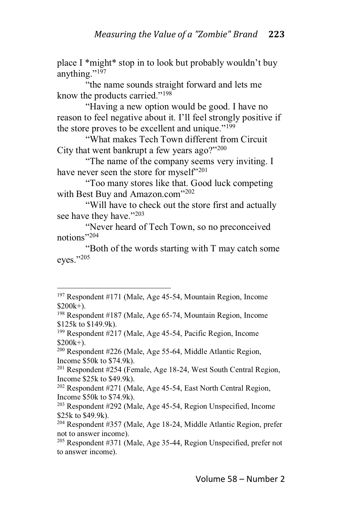place I \*might\* stop in to look but probably wouldn't buy anything." $1\overline{97}$ 

"the name sounds straight forward and lets me know the products carried." $198$ 

"Having a new option would be good. I have no reason to feel negative about it. I'll feel strongly positive if the store proves to be excellent and unique." $199$ 

"What makes Tech Town different from Circuit City that went bankrupt a few years ago?"<sup>200</sup>

"The name of the company seems very inviting. I have never seen the store for myself"<sup>201</sup>

"Too many stores like that. Good luck competing with Best Buy and Amazon.com"<sup>202</sup>

"Will have to check out the store first and actually see have they have."<sup>203</sup>

"Never heard of Tech Town, so no preconceived notions $"^{204}$ 

"Both of the words starting with  $T$  may catch some eyes."205

<sup>197</sup> Respondent #171 (Male, Age 45-54, Mountain Region, Income  $$200k+$ ).

<sup>198</sup> Respondent #187 (Male, Age 65-74, Mountain Region, Income \$125k to \$149.9k).

<sup>199</sup> Respondent #217 (Male, Age 45-54, Pacific Region, Income  $$200k+$ ).

<sup>200</sup> Respondent #226 (Male, Age 55-64, Middle Atlantic Region, Income \$50k to \$74.9k).

<sup>201</sup> Respondent #254 (Female, Age 18-24, West South Central Region, Income \$25k to \$49.9k).

<sup>202</sup> Respondent #271 (Male, Age 45-54, East North Central Region, Income \$50k to \$74.9k).

<sup>203</sup> Respondent #292 (Male, Age 45-54, Region Unspecified, Income \$25k to \$49.9k).

<sup>204</sup> Respondent #357 (Male, Age 18-24, Middle Atlantic Region, prefer not to answer income).

<sup>205</sup> Respondent #371 (Male, Age 35-44, Region Unspecified, prefer not to answer income).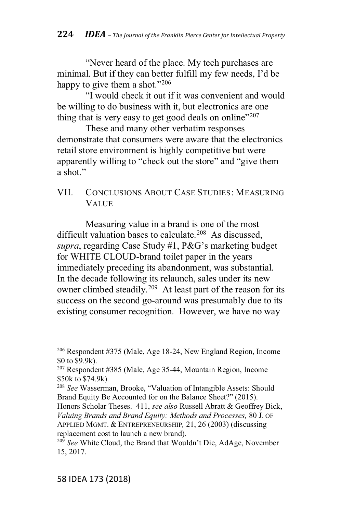"Never heard of the place. My tech purchases are minimal. But if they can better fulfill my few needs, I'd be happy to give them a shot." $206$ 

@I would check it out if it was convenient and would be willing to do business with it, but electronics are one thing that is very easy to get good deals on online"<sup>207</sup>

These and many other verbatim responses demonstrate that consumers were aware that the electronics retail store environment is highly competitive but were apparently willing to "check out the store" and "give them  $a \,$ shot."

### VII. CONCLUSIONS ABOUT CASE STUDIES: MEASURING VALUE

Measuring value in a brand is one of the most difficult valuation bases to calculate.<sup>208</sup> As discussed, *supra*, regarding Case Study #1, P&G's marketing budget for WHITE CLOUD-brand toilet paper in the years immediately preceding its abandonment, was substantial. In the decade following its relaunch, sales under its new owner climbed steadily.<sup>209</sup> At least part of the reason for its success on the second go-around was presumably due to its existing consumer recognition. However, we have no way

Honors Scholar Theses. 411, *see also* Russell Abratt & Geoffrey Bick, *Valuing Brands and Brand Equity: Methods and Processes,* 80 J. OF APPLIED MGMT.&ENTREPRENEURSHIP*,* 21, 26 (2003) (discussing replacement cost to launch a new brand).

<sup>206</sup> Respondent #375 (Male, Age 18-24, New England Region, Income \$0 to \$9.9k).

<sup>207</sup> Respondent #385 (Male, Age 35-44, Mountain Region, Income \$50k to \$74.9k).

<sup>&</sup>lt;sup>208</sup> See Wasserman, Brooke, "Valuation of Intangible Assets: Should Brand Equity Be Accounted for on the Balance Sheet?" (2015).

<sup>&</sup>lt;sup>209</sup> See White Cloud, the Brand that Wouldn't Die, AdAge, November 15, 2017.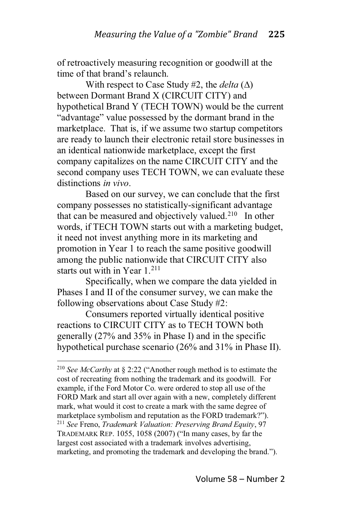of retroactively measuring recognition or goodwill at the time of that brand's relaunch

With respect to Case Study #2, the *delta*  $(\Delta)$ between Dormant Brand X (CIRCUIT CITY) and hypothetical Brand Y (TECH TOWN) would be the current "advantage" value possessed by the dormant brand in the marketplace. That is, if we assume two startup competitors are ready to launch their electronic retail store businesses in an identical nationwide marketplace, except the first company capitalizes on the name CIRCUIT CITY and the second company uses TECH TOWN, we can evaluate these distinctions *in vivo*.

Based on our survey, we can conclude that the first company possesses no statistically-significant advantage that can be measured and objectively valued.<sup>210</sup> In other words, if TECH TOWN starts out with a marketing budget, it need not invest anything more in its marketing and promotion in Year 1 to reach the same positive goodwill among the public nationwide that CIRCUIT CITY also starts out with in Year 1.<sup>211</sup>

Specifically, when we compare the data yielded in Phases I and II of the consumer survey, we can make the following observations about Case Study #2:

Consumers reported virtually identical positive reactions to CIRCUIT CITY as to TECH TOWN both generally (27% and 35% in Phase I) and in the specific hypothetical purchase scenario (26% and 31% in Phase II).

<sup>&</sup>lt;sup>210</sup> *See McCarthy* at § 2:22 ("Another rough method is to estimate the cost of recreating from nothing the trademark and its goodwill. For example, if the Ford Motor Co. were ordered to stop all use of the FORD Mark and start all over again with a new, completely different mark, what would it cost to create a mark with the same degree of marketplace symbolism and reputation as the FORD trademark?"). <sup>211</sup> *See* Freno, *Trademark Valuation: Preserving Brand Equity*, 97 TRADEMARK REP.  $1055$ ,  $1058$  (2007) ("In many cases, by far the largest cost associated with a trademark involves advertising, marketing, and promoting the trademark and developing the brand.").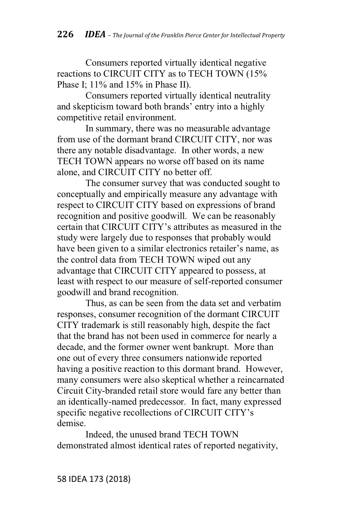Consumers reported virtually identical negative reactions to CIRCUIT CITY as to TECH TOWN (15% Phase I; 11% and 15% in Phase II).

Consumers reported virtually identical neutrality and skepticism toward both brands' entry into a highly competitive retail environment.

In summary, there was no measurable advantage from use of the dormant brand CIRCUIT CITY, nor was there any notable disadvantage. In other words, a new TECH TOWN appears no worse off based on its name alone, and CIRCUIT CITY no better off.

The consumer survey that was conducted sought to conceptually and empirically measure any advantage with respect to CIRCUIT CITY based on expressions of brand recognition and positive goodwill. We can be reasonably certain that CIRCUIT CITY's attributes as measured in the study were largely due to responses that probably would have been given to a similar electronics retailer's name, as the control data from TECH TOWN wiped out any advantage that CIRCUIT CITY appeared to possess, at least with respect to our measure of self-reported consumer goodwill and brand recognition.

Thus, as can be seen from the data set and verbatim responses, consumer recognition of the dormant CIRCUIT CITY trademark is still reasonably high, despite the fact that the brand has not been used in commerce for nearly a decade, and the former owner went bankrupt. More than one out of every three consumers nationwide reported having a positive reaction to this dormant brand. However, many consumers were also skeptical whether a reincarnated Circuit City-branded retail store would fare any better than an identically-named predecessor. In fact, many expressed specific negative recollections of CIRCUIT CITY's demise.

Indeed, the unused brand TECH TOWN demonstrated almost identical rates of reported negativity,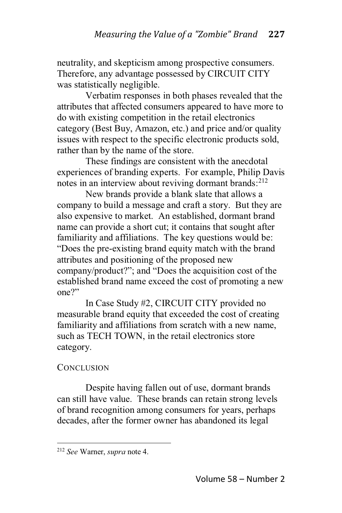neutrality, and skepticism among prospective consumers. Therefore, any advantage possessed by CIRCUIT CITY was statistically negligible.

Verbatim responses in both phases revealed that the attributes that affected consumers appeared to have more to do with existing competition in the retail electronics category (Best Buy, Amazon, etc.) and price and/or quality issues with respect to the specific electronic products sold, rather than by the name of the store.

These findings are consistent with the anecdotal experiences of branding experts. For example, Philip Davis notes in an interview about reviving dormant brands:<sup>212</sup>

New brands provide a blank slate that allows a company to build a message and craft a story. But they are also expensive to market. An established, dormant brand name can provide a short cut; it contains that sought after familiarity and affiliations. The key questions would be: "Does the pre-existing brand equity match with the brand attributes and positioning of the proposed new company/product?"; and "Does the acquisition cost of the established brand name exceed the cost of promoting a new  $one$ ?

In Case Study #2, CIRCUIT CITY provided no measurable brand equity that exceeded the cost of creating familiarity and affiliations from scratch with a new name, such as TECH TOWN, in the retail electronics store category.

## **CONCLUSION**

Despite having fallen out of use, dormant brands can still have value. These brands can retain strong levels of brand recognition among consumers for years, perhaps decades, after the former owner has abandoned its legal

<sup>212</sup> *See* Warner, *supra* note 4.